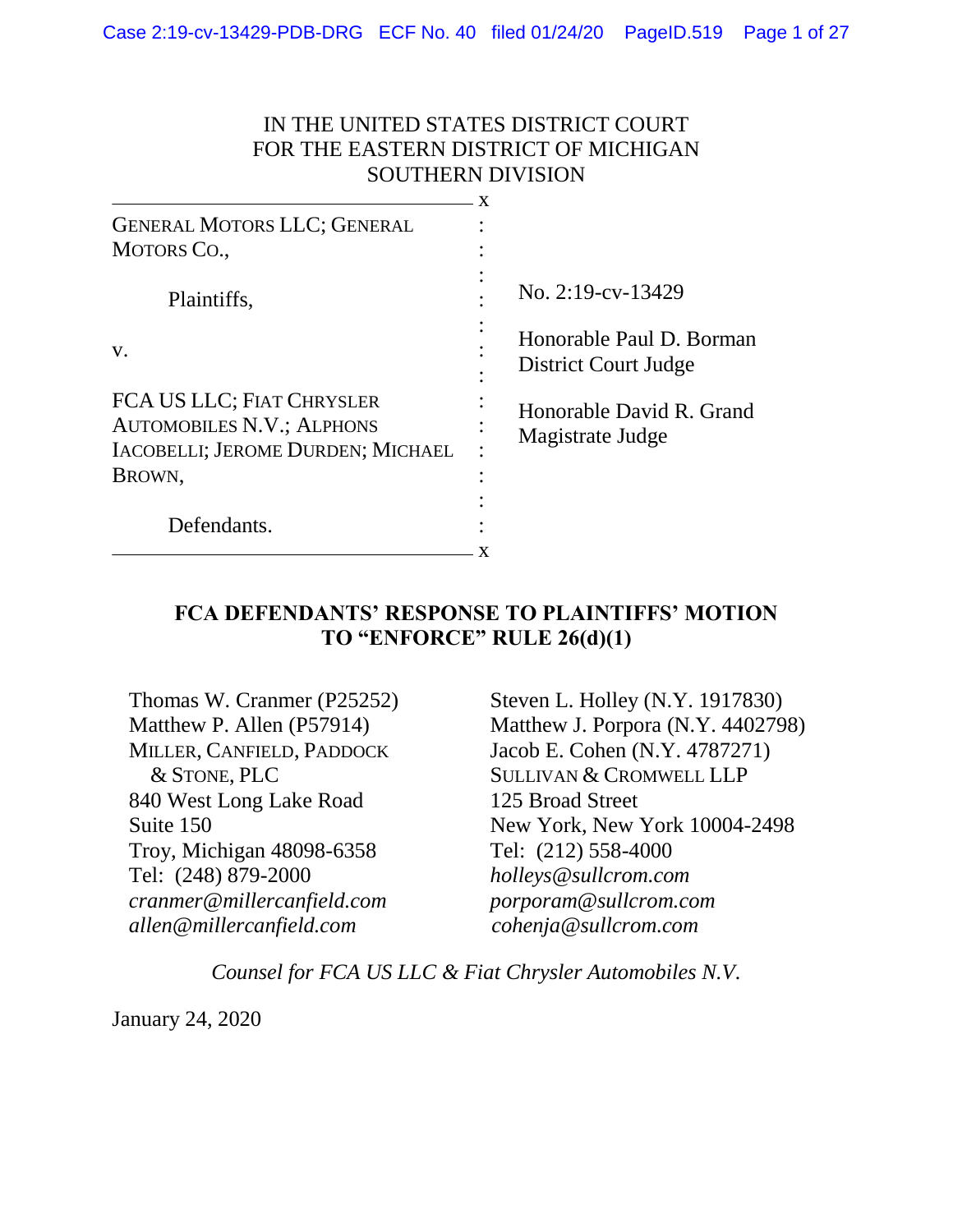### IN THE UNITED STATES DISTRICT COURT FOR THE EASTERN DISTRICT OF MICHIGAN SOUTHERN DIVISION

| <b>GENERAL MOTORS LLC; GENERAL</b><br><b>MOTORS CO.,</b>                                           |                                                  |
|----------------------------------------------------------------------------------------------------|--------------------------------------------------|
|                                                                                                    |                                                  |
| Plaintiffs,                                                                                        | No. 2:19-cv-13429                                |
| V.                                                                                                 | Honorable Paul D. Borman<br>District Court Judge |
| FCA US LLC; FIAT CHRYSLER<br><b>AUTOMOBILES N.V.; ALPHONS</b><br>IACOBELLI; JEROME DURDEN; MICHAEL | Honorable David R. Grand<br>Magistrate Judge     |
| BROWN,                                                                                             |                                                  |
|                                                                                                    |                                                  |
| Defendants.                                                                                        |                                                  |
|                                                                                                    |                                                  |

### **FCA DEFENDANTS' RESPONSE TO PLAINTIFFS' MOTION TO "ENFORCE" RULE 26(d)(1)**

Thomas W. Cranmer (P25252) Matthew P. Allen (P57914) MILLER, CANFIELD, PADDOCK & STONE, PLC 840 West Long Lake Road Suite 150 Troy, Michigan 48098-6358 Tel: (248) 879-2000 *cranmer@millercanfield.com allen@millercanfield.com*

Steven L. Holley (N.Y. 1917830) Matthew J. Porpora (N.Y. 4402798) Jacob E. Cohen (N.Y. 4787271) SULLIVAN & CROMWELL LLP 125 Broad Street New York, New York 10004-2498 Tel: (212) 558-4000 *holleys@sullcrom.com porporam@sullcrom.com cohenja@sullcrom.com*

*Counsel for FCA US LLC & Fiat Chrysler Automobiles N.V.*

January 24, 2020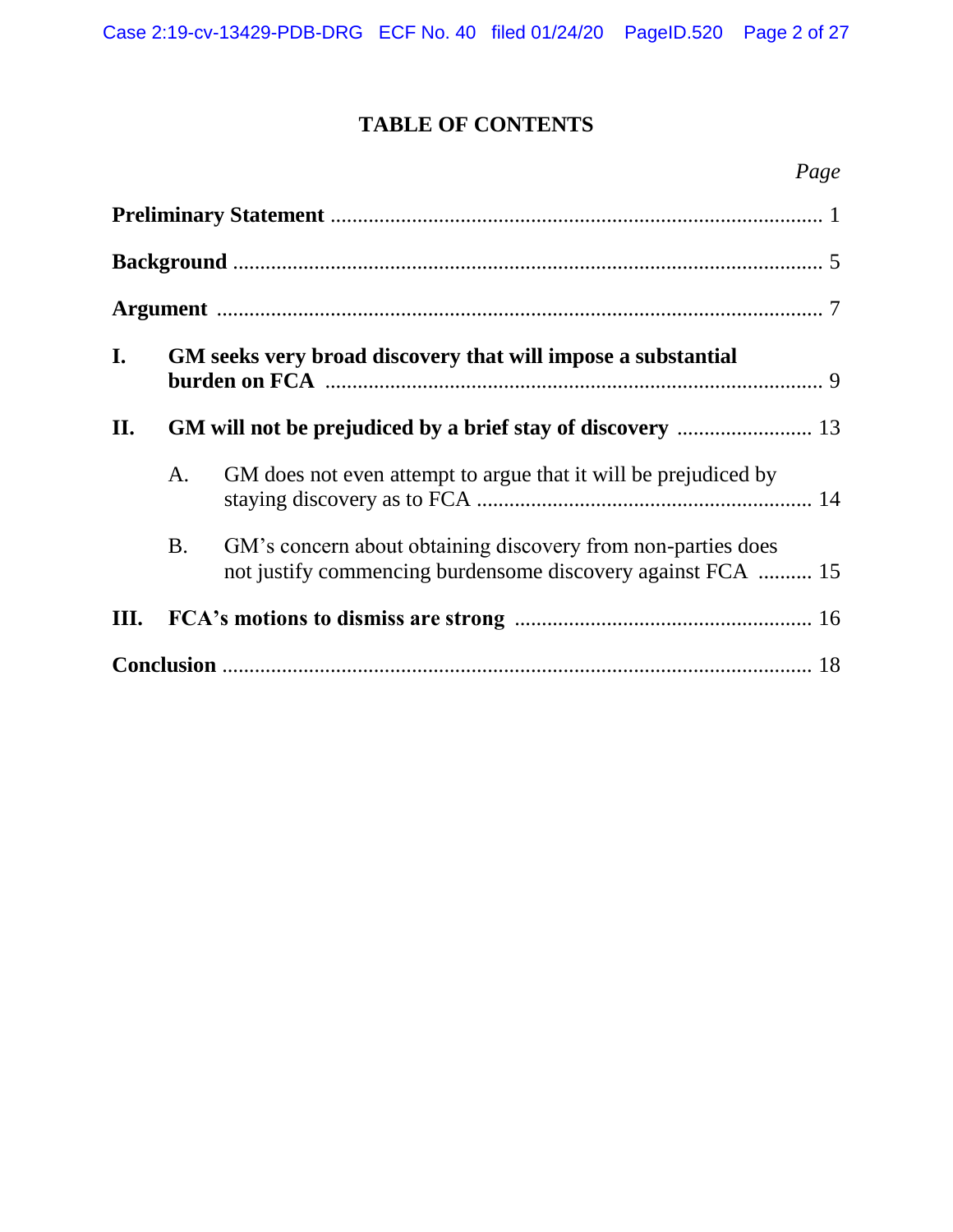# **TABLE OF CONTENTS**

## *Page*

| $\mathbf{I}$ . |           | GM seeks very broad discovery that will impose a substantial                                                                |  |  |
|----------------|-----------|-----------------------------------------------------------------------------------------------------------------------------|--|--|
| II.            |           |                                                                                                                             |  |  |
|                | A.        | GM does not even attempt to argue that it will be prejudiced by                                                             |  |  |
|                | <b>B.</b> | GM's concern about obtaining discovery from non-parties does<br>not justify commencing burdensome discovery against FCA  15 |  |  |
| Ш.             |           |                                                                                                                             |  |  |
|                |           |                                                                                                                             |  |  |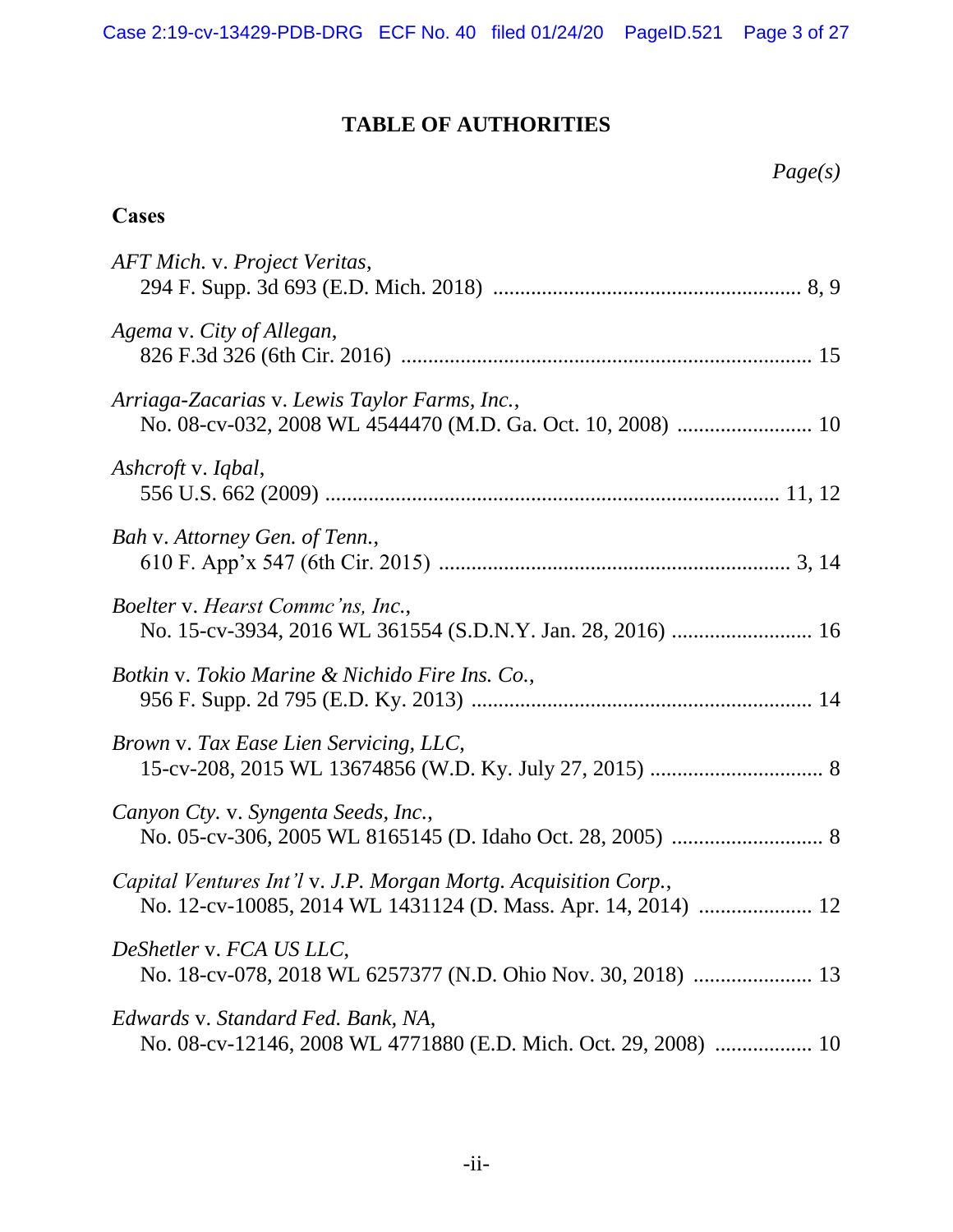# **TABLE OF AUTHORITIES**

| Page(s) |  |
|---------|--|
|---------|--|

### **Cases**

| AFT Mich. v. Project Veritas,                                                                                                    |
|----------------------------------------------------------------------------------------------------------------------------------|
| Agema v. City of Allegan,                                                                                                        |
| Arriaga-Zacarias v. Lewis Taylor Farms, Inc.,                                                                                    |
| Ashcroft v. Iqbal,                                                                                                               |
| Bah v. Attorney Gen. of Tenn.,                                                                                                   |
| Boelter v. Hearst Commc'ns, Inc.,<br>No. 15-cv-3934, 2016 WL 361554 (S.D.N.Y. Jan. 28, 2016)  16                                 |
| Botkin v. Tokio Marine & Nichido Fire Ins. Co.,                                                                                  |
| Brown v. Tax Ease Lien Servicing, LLC,                                                                                           |
| Canyon Cty. v. Syngenta Seeds, Inc.,                                                                                             |
| Capital Ventures Int'l v. J.P. Morgan Mortg. Acquisition Corp.,<br>No. 12-cv-10085, 2014 WL 1431124 (D. Mass. Apr. 14, 2014)  12 |
| DeShetler v. FCA US LLC,<br>No. 18-cv-078, 2018 WL 6257377 (N.D. Ohio Nov. 30, 2018)  13                                         |
| Edwards v. Standard Fed. Bank, NA,<br>No. 08-cv-12146, 2008 WL 4771880 (E.D. Mich. Oct. 29, 2008)  10                            |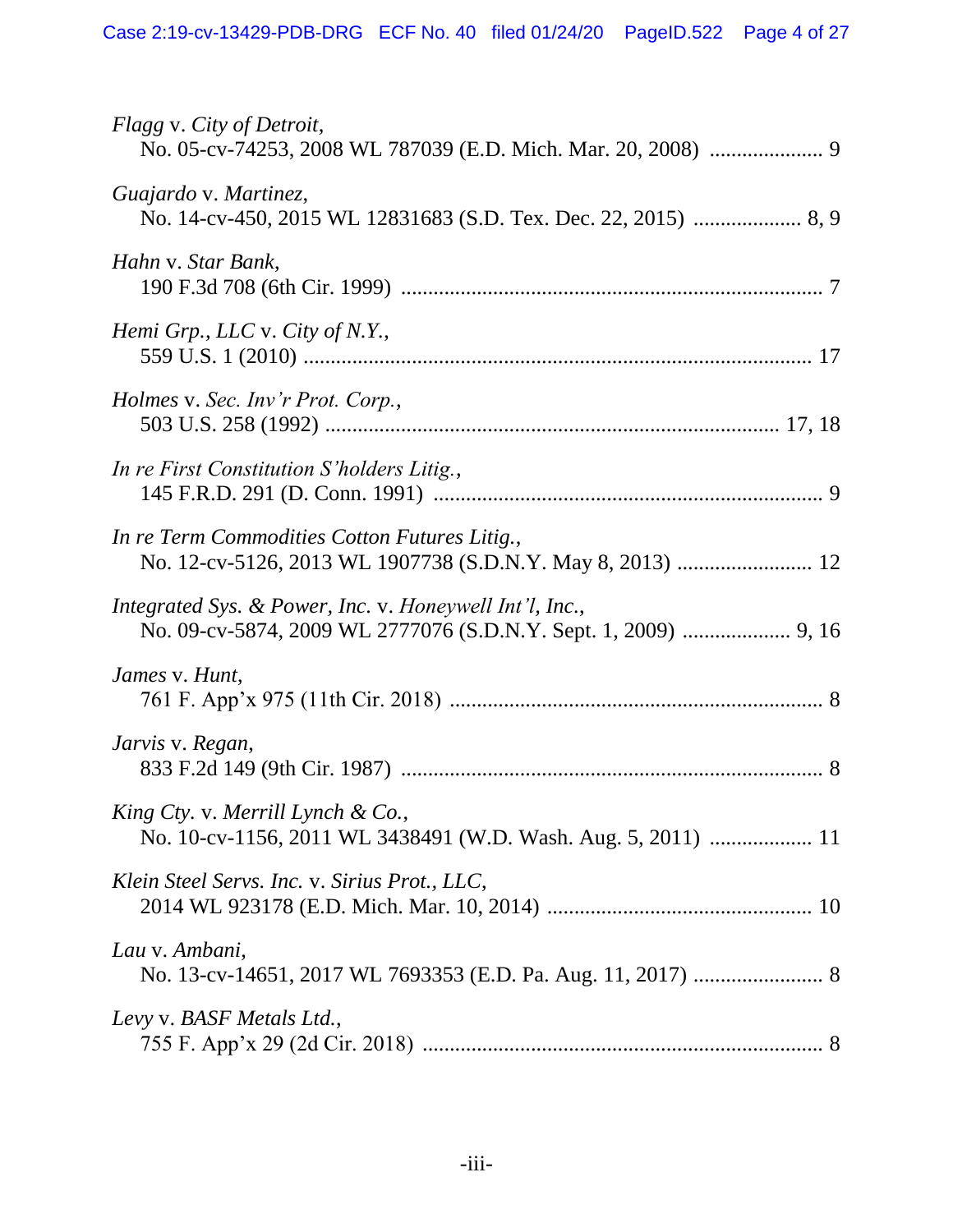| Flagg v. City of Detroit,                                                                          |
|----------------------------------------------------------------------------------------------------|
| Guajardo v. Martinez,                                                                              |
| Hahn v. Star Bank,                                                                                 |
| Hemi Grp., LLC v. City of N.Y.,                                                                    |
| Holmes v. Sec. Inv'r Prot. Corp.,                                                                  |
| In re First Constitution S'holders Litig.,                                                         |
| In re Term Commodities Cotton Futures Litig.,                                                      |
| Integrated Sys. & Power, Inc. v. Honeywell Int'l, Inc.,                                            |
| James v. Hunt,                                                                                     |
| Jarvis v. Regan,                                                                                   |
| King Cty. v. Merrill Lynch & Co.,<br>No. 10-cv-1156, 2011 WL 3438491 (W.D. Wash. Aug. 5, 2011)  11 |
| Klein Steel Servs. Inc. v. Sirius Prot., LLC,                                                      |
| Lau v. Ambani,                                                                                     |
| Levy v. BASF Metals Ltd.,                                                                          |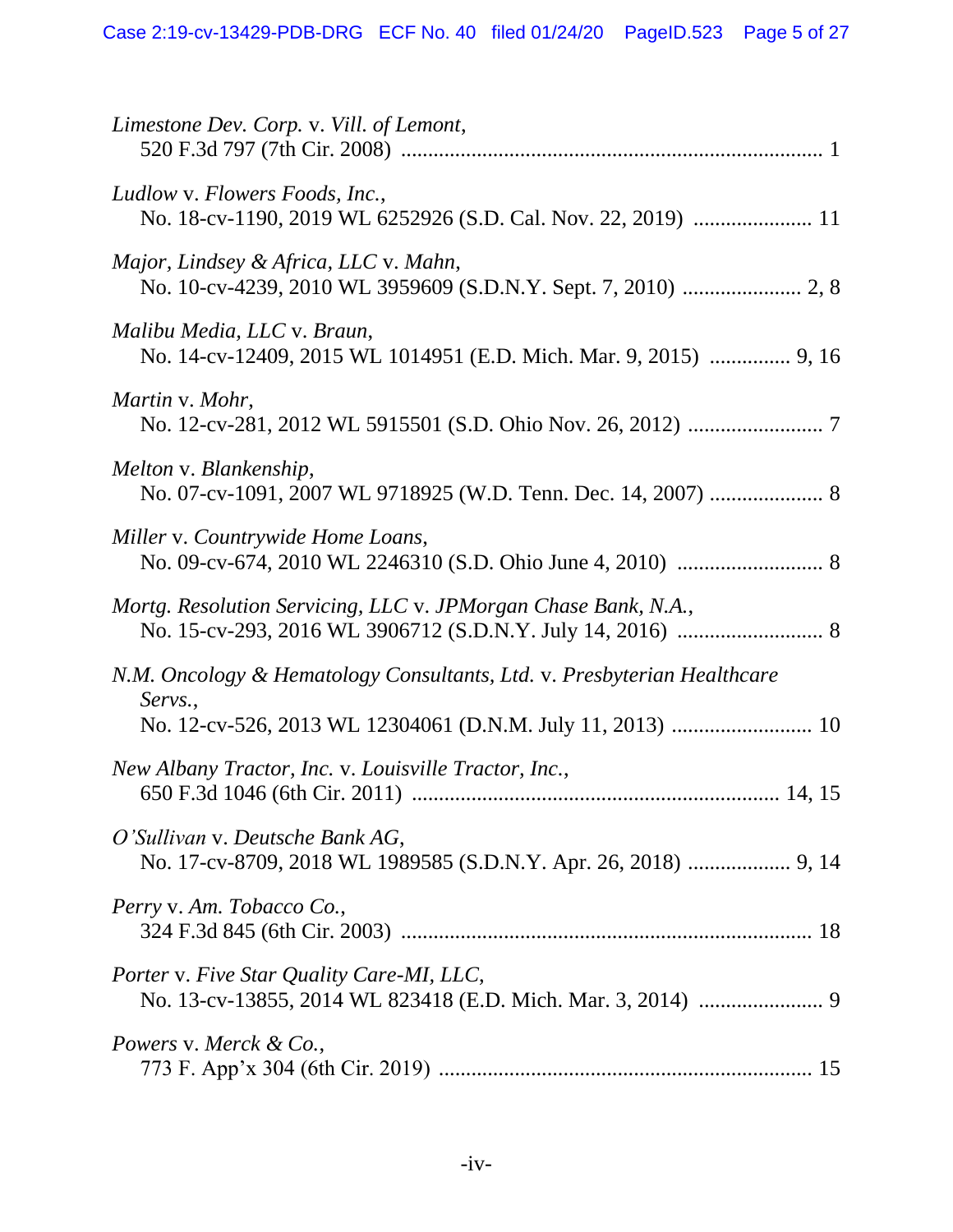| Limestone Dev. Corp. v. Vill. of Lemont,                                                           |
|----------------------------------------------------------------------------------------------------|
| Ludlow v. Flowers Foods, Inc.,<br>No. 18-cv-1190, 2019 WL 6252926 (S.D. Cal. Nov. 22, 2019)  11    |
| Major, Lindsey & Africa, LLC v. Mahn,                                                              |
| Malibu Media, LLC v. Braun,<br>No. 14-cv-12409, 2015 WL 1014951 (E.D. Mich. Mar. 9, 2015)  9, 16   |
| Martin v. Mohr,                                                                                    |
| Melton v. Blankenship,                                                                             |
| Miller v. Countrywide Home Loans,                                                                  |
| Mortg. Resolution Servicing, LLC v. JPMorgan Chase Bank, N.A.,                                     |
| N.M. Oncology & Hematology Consultants, Ltd. v. Presbyterian Healthcare<br>Servs.,                 |
| New Albany Tractor, Inc. v. Louisville Tractor, Inc.,                                              |
| O'Sullivan v. Deutsche Bank AG,<br>No. 17-cv-8709, 2018 WL 1989585 (S.D.N.Y. Apr. 26, 2018)  9, 14 |
| Perry v. Am. Tobacco Co.,                                                                          |
| Porter v. Five Star Quality Care-MI, LLC,                                                          |
| Powers v. Merck & Co.,                                                                             |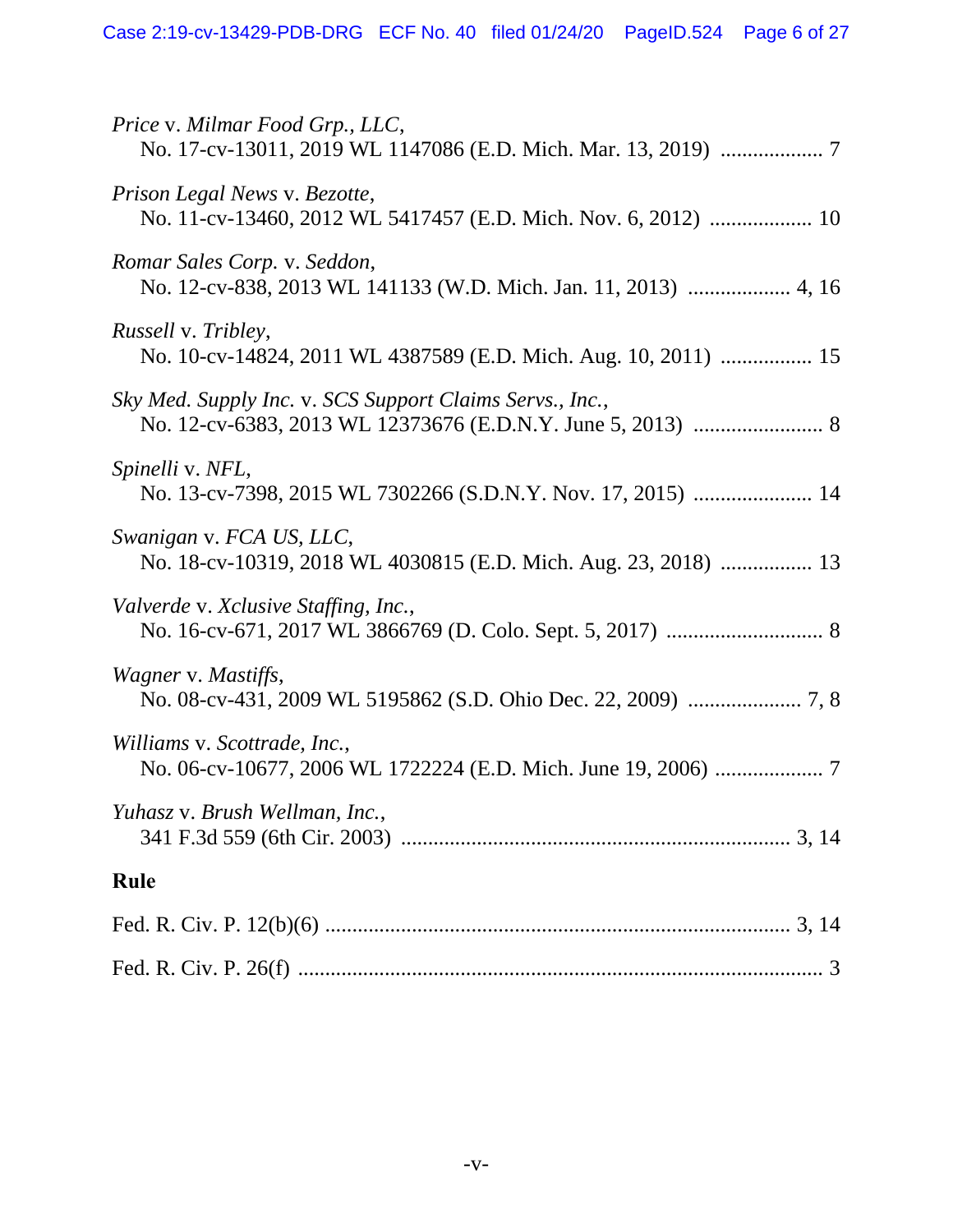| Price v. Milmar Food Grp., LLC,                                                               |
|-----------------------------------------------------------------------------------------------|
| Prison Legal News v. Bezotte,                                                                 |
| Romar Sales Corp. v. Seddon,                                                                  |
| <i>Russell v. Tribley,</i><br>No. 10-cv-14824, 2011 WL 4387589 (E.D. Mich. Aug. 10, 2011)  15 |
| Sky Med. Supply Inc. v. SCS Support Claims Servs., Inc.,                                      |
| Spinelli v. NFL,<br>No. 13-cv-7398, 2015 WL 7302266 (S.D.N.Y. Nov. 17, 2015)  14              |
| Swanigan v. FCA US, LLC,<br>No. 18-cv-10319, 2018 WL 4030815 (E.D. Mich. Aug. 23, 2018)  13   |
| Valverde v. Xclusive Staffing, Inc.,                                                          |
| Wagner v. Mastiffs,                                                                           |
| Williams v. Scottrade, Inc.,                                                                  |
| Yuhasz v. Brush Wellman, Inc.,                                                                |
| Rule                                                                                          |
|                                                                                               |
|                                                                                               |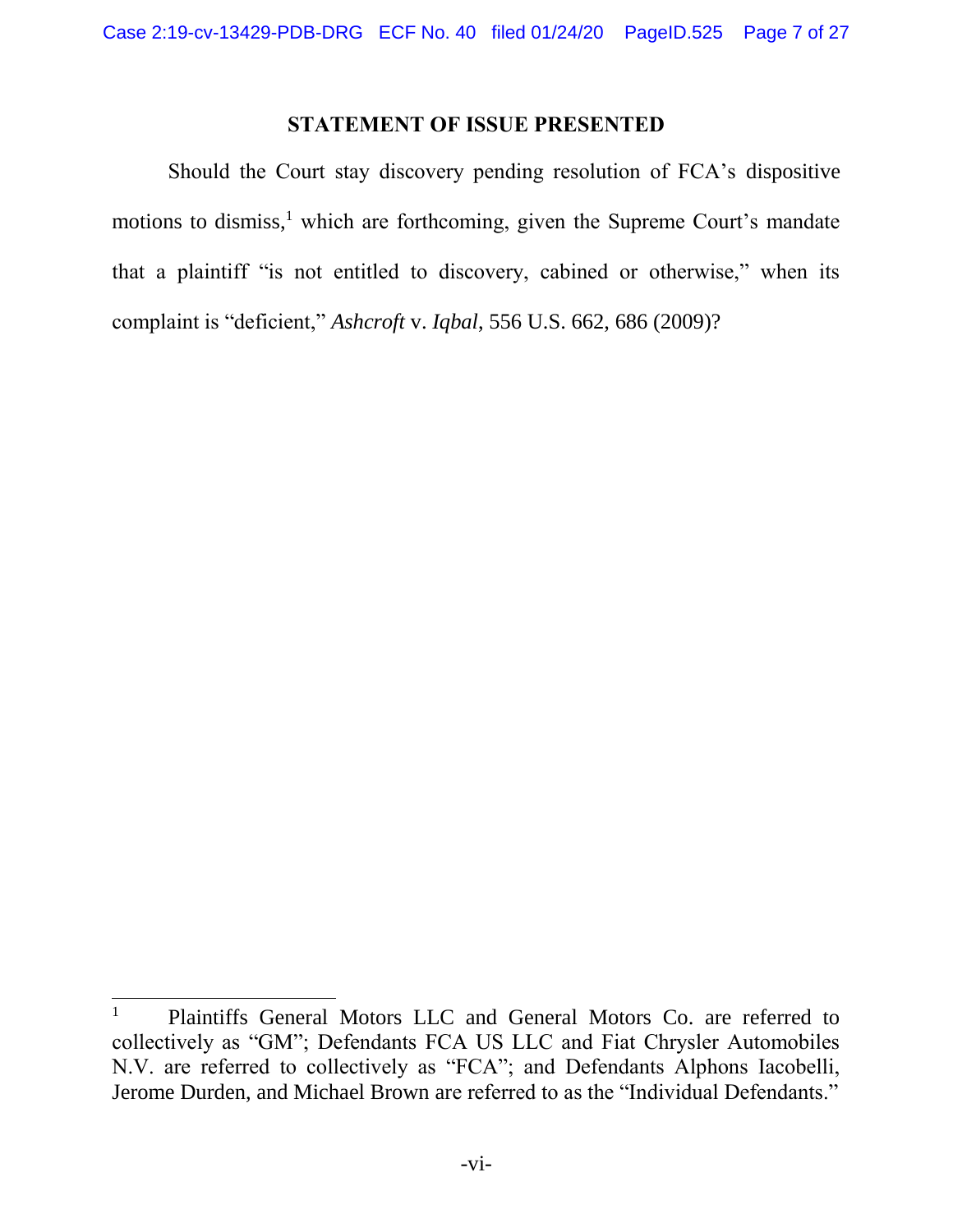#### **STATEMENT OF ISSUE PRESENTED**

Should the Court stay discovery pending resolution of FCA's dispositive motions to dismiss, $<sup>1</sup>$  which are forthcoming, given the Supreme Court's mandate</sup> that a plaintiff "is not entitled to discovery, cabined or otherwise," when its complaint is "deficient," *Ashcroft* v. *Iqbal*, 556 U.S. 662, 686 (2009)?

<sup>&</sup>lt;sup>1</sup> Plaintiffs General Motors LLC and General Motors Co. are referred to collectively as "GM"; Defendants FCA US LLC and Fiat Chrysler Automobiles N.V. are referred to collectively as "FCA"; and Defendants Alphons Iacobelli, Jerome Durden, and Michael Brown are referred to as the "Individual Defendants."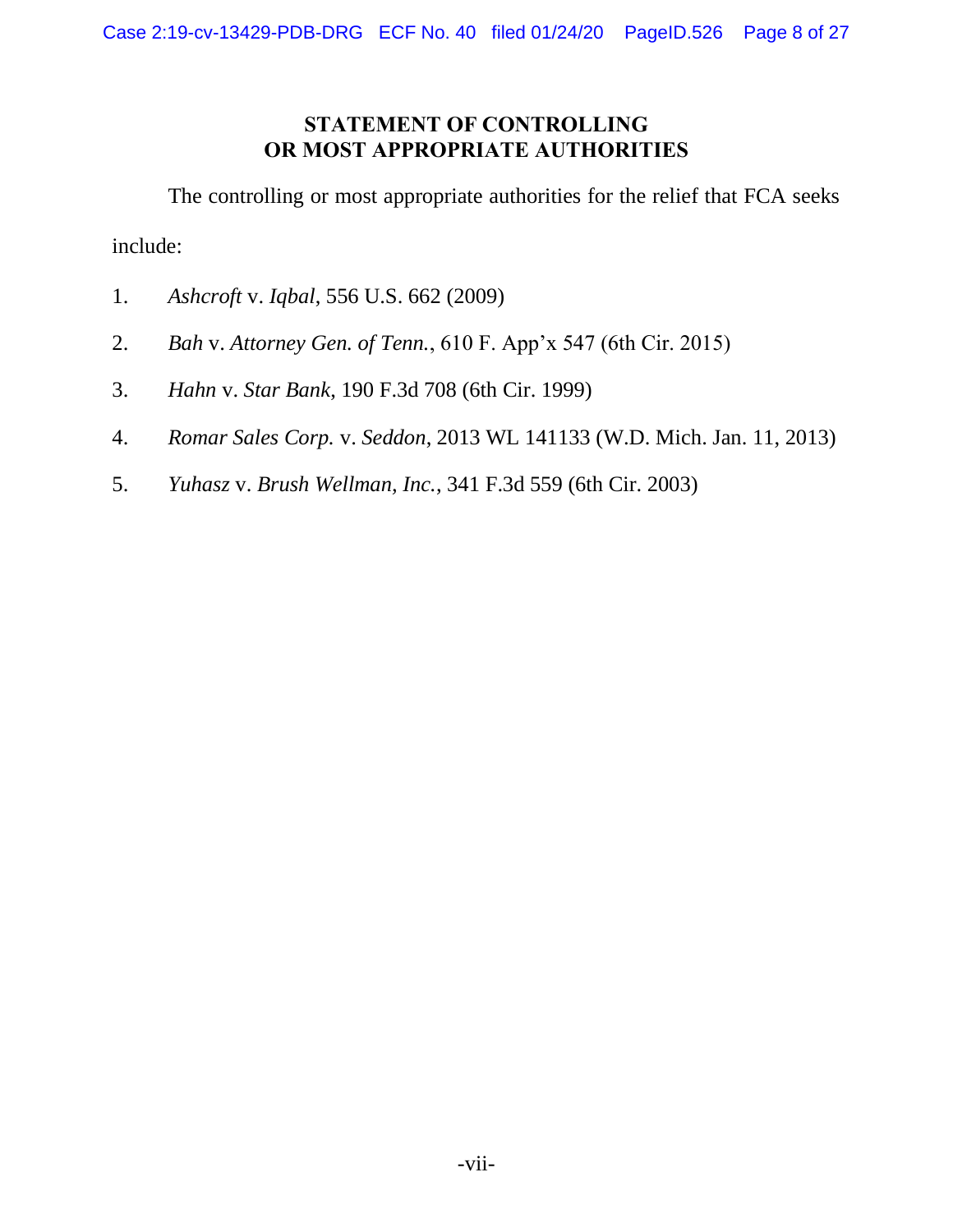### **STATEMENT OF CONTROLLING OR MOST APPROPRIATE AUTHORITIES**

The controlling or most appropriate authorities for the relief that FCA seeks include:

- 1. *Ashcroft* v. *Iqbal*, 556 U.S. 662 (2009)
- 2. *Bah* v. *Attorney Gen. of Tenn.*, 610 F. App'x 547 (6th Cir. 2015)
- 3. *Hahn* v. *Star Bank*, 190 F.3d 708 (6th Cir. 1999)
- 4. *Romar Sales Corp.* v. *Seddon*, 2013 WL 141133 (W.D. Mich. Jan. 11, 2013)
- 5. *Yuhasz* v. *Brush Wellman, Inc.*, 341 F.3d 559 (6th Cir. 2003)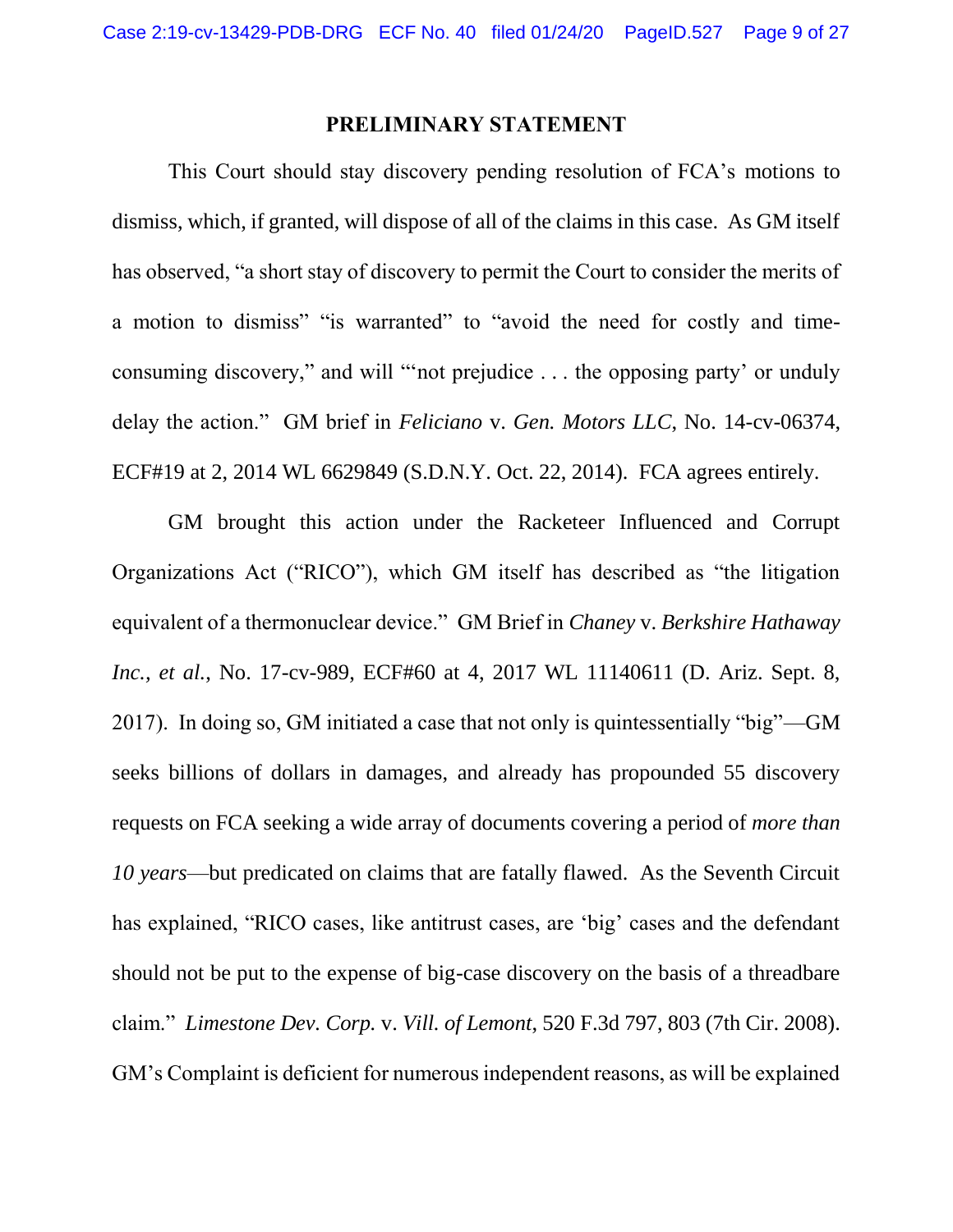#### **PRELIMINARY STATEMENT**

<span id="page-8-0"></span>This Court should stay discovery pending resolution of FCA's motions to dismiss, which, if granted, will dispose of all of the claims in this case. As GM itself has observed, "a short stay of discovery to permit the Court to consider the merits of a motion to dismiss" "is warranted" to "avoid the need for costly and timeconsuming discovery," and will "'not prejudice . . . the opposing party' or unduly delay the action." GM brief in *Feliciano* v. *Gen. Motors LLC*, No. 14-cv-06374, ECF#19 at 2, 2014 WL 6629849 (S.D.N.Y. Oct. 22, 2014). FCA agrees entirely.

GM brought this action under the Racketeer Influenced and Corrupt Organizations Act ("RICO"), which GM itself has described as "the litigation equivalent of a thermonuclear device." GM Brief in *Chaney* v. *Berkshire Hathaway Inc., et al.*, No. 17-cv-989, ECF#60 at 4, 2017 WL 11140611 (D. Ariz. Sept. 8, 2017). In doing so, GM initiated a case that not only is quintessentially "big"—GM seeks billions of dollars in damages, and already has propounded 55 discovery requests on FCA seeking a wide array of documents covering a period of *more than 10 years*—but predicated on claims that are fatally flawed. As the Seventh Circuit has explained, "RICO cases, like antitrust cases, are 'big' cases and the defendant should not be put to the expense of big-case discovery on the basis of a threadbare claim." *Limestone Dev. Corp.* v. *Vill. of Lemont*, 520 F.3d 797, 803 (7th Cir. 2008). GM's Complaint is deficient for numerous independent reasons, as will be explained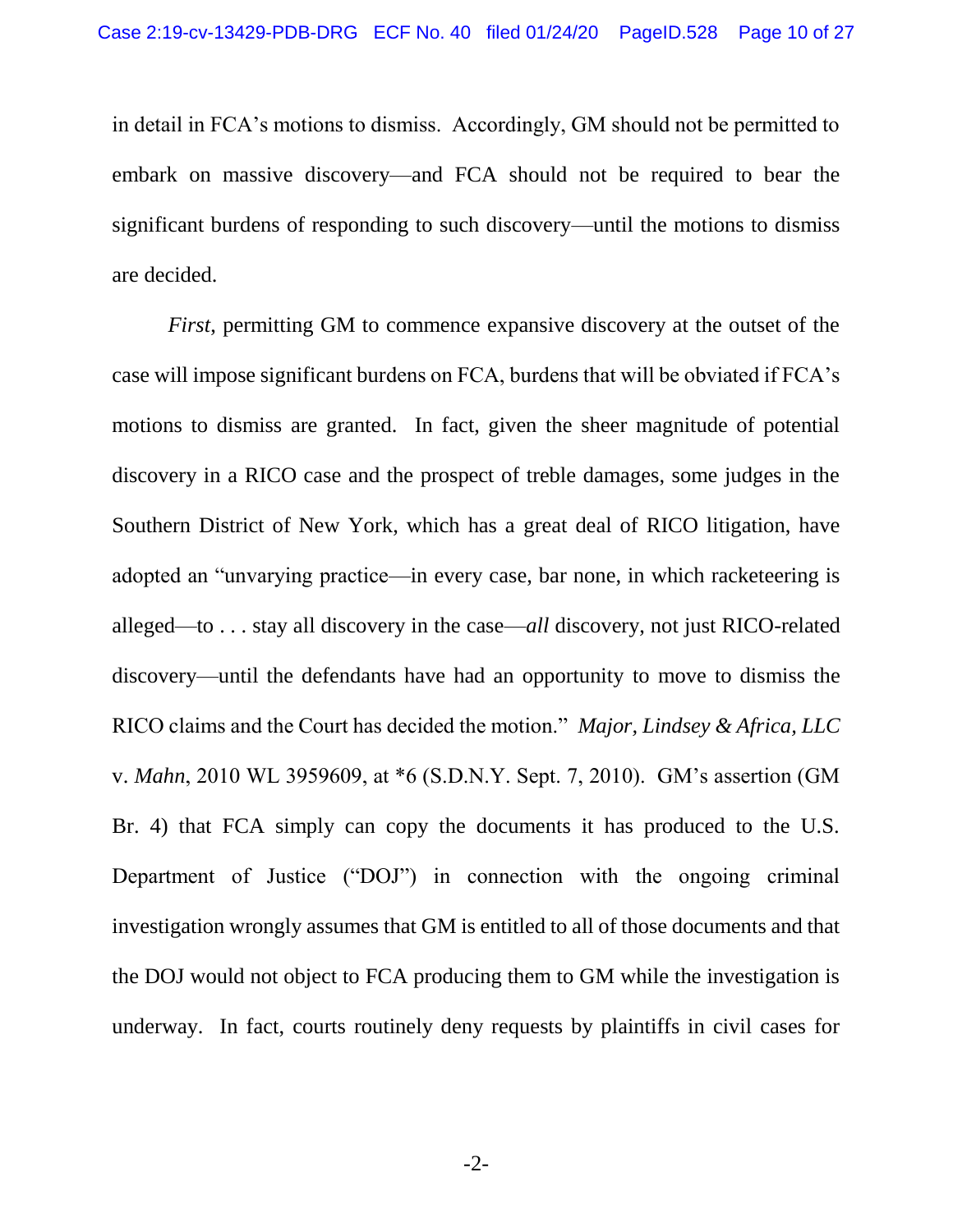in detail in FCA's motions to dismiss. Accordingly, GM should not be permitted to embark on massive discovery—and FCA should not be required to bear the significant burdens of responding to such discovery—until the motions to dismiss are decided.

*First*, permitting GM to commence expansive discovery at the outset of the case will impose significant burdens on FCA, burdens that will be obviated if FCA's motions to dismiss are granted. In fact, given the sheer magnitude of potential discovery in a RICO case and the prospect of treble damages, some judges in the Southern District of New York, which has a great deal of RICO litigation, have adopted an "unvarying practice—in every case, bar none, in which racketeering is alleged—to . . . stay all discovery in the case—*all* discovery, not just RICO-related discovery—until the defendants have had an opportunity to move to dismiss the RICO claims and the Court has decided the motion." *Major, Lindsey & Africa, LLC* v. *Mahn*, 2010 WL 3959609, at \*6 (S.D.N.Y. Sept. 7, 2010). GM's assertion (GM Br. 4) that FCA simply can copy the documents it has produced to the U.S. Department of Justice ("DOJ") in connection with the ongoing criminal investigation wrongly assumes that GM is entitled to all of those documents and that the DOJ would not object to FCA producing them to GM while the investigation is underway. In fact, courts routinely deny requests by plaintiffs in civil cases for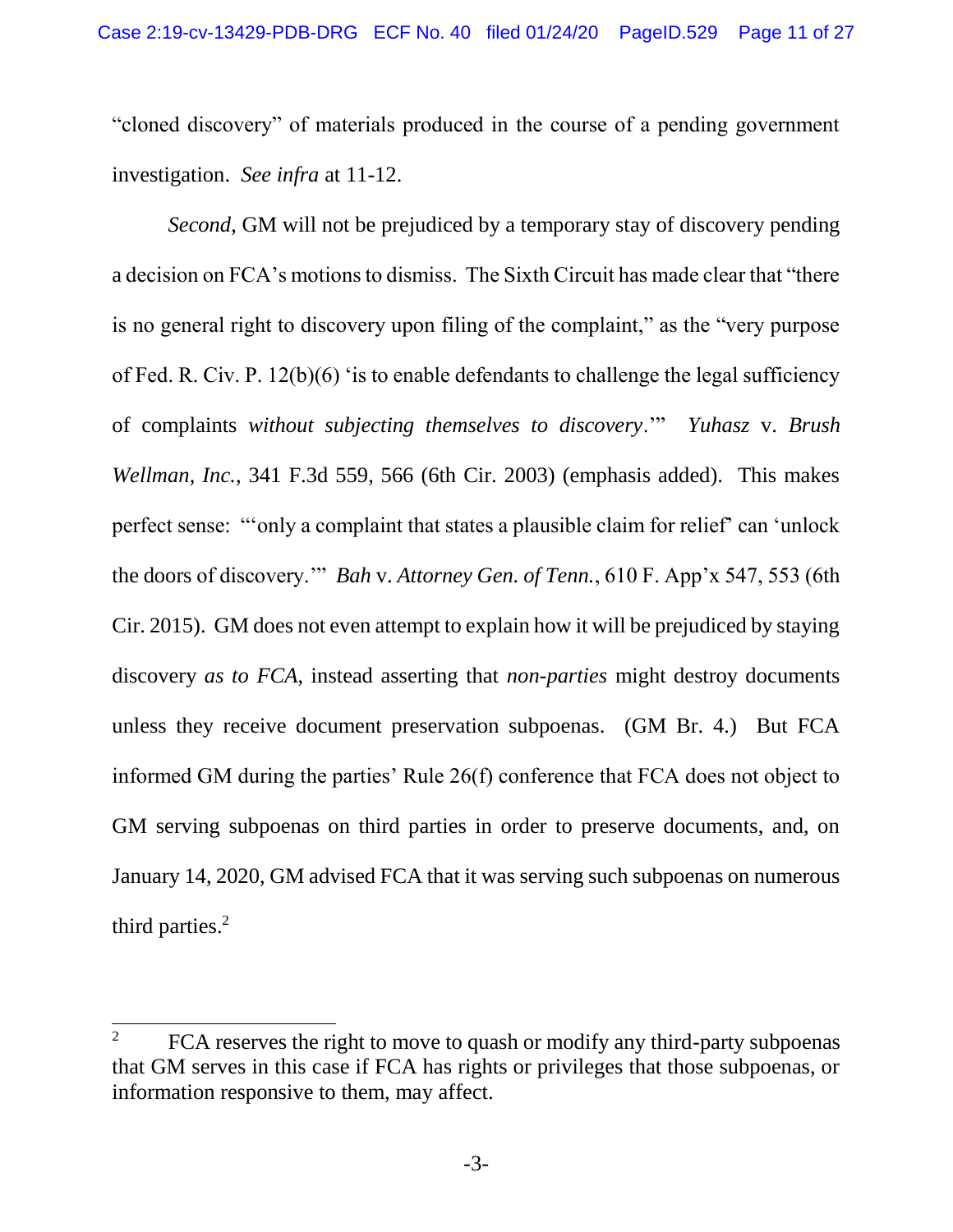"cloned discovery" of materials produced in the course of a pending government investigation. *See infra* at 11-12.

*Second*, GM will not be prejudiced by a temporary stay of discovery pending a decision on FCA's motions to dismiss. The Sixth Circuit has made clear that "there is no general right to discovery upon filing of the complaint," as the "very purpose of Fed. R. Civ. P. 12(b)(6) 'is to enable defendants to challenge the legal sufficiency of complaints *without subjecting themselves to discovery*.'" *Yuhasz* v. *Brush Wellman, Inc.*, 341 F.3d 559, 566 (6th Cir. 2003) (emphasis added). This makes perfect sense: "'only a complaint that states a plausible claim for relief' can 'unlock the doors of discovery.'" *Bah* v. *Attorney Gen. of Tenn.*, 610 F. App'x 547, 553 (6th Cir. 2015). GM does not even attempt to explain how it will be prejudiced by staying discovery *as to FCA*, instead asserting that *non-parties* might destroy documents unless they receive document preservation subpoenas. (GM Br. 4.) But FCA informed GM during the parties' Rule 26(f) conference that FCA does not object to GM serving subpoenas on third parties in order to preserve documents, and, on January 14, 2020, GM advised FCA that it was serving such subpoenas on numerous third parties.<sup>2</sup>

<sup>&</sup>lt;sup>2</sup> FCA reserves the right to move to quash or modify any third-party subpoenas that GM serves in this case if FCA has rights or privileges that those subpoenas, or information responsive to them, may affect.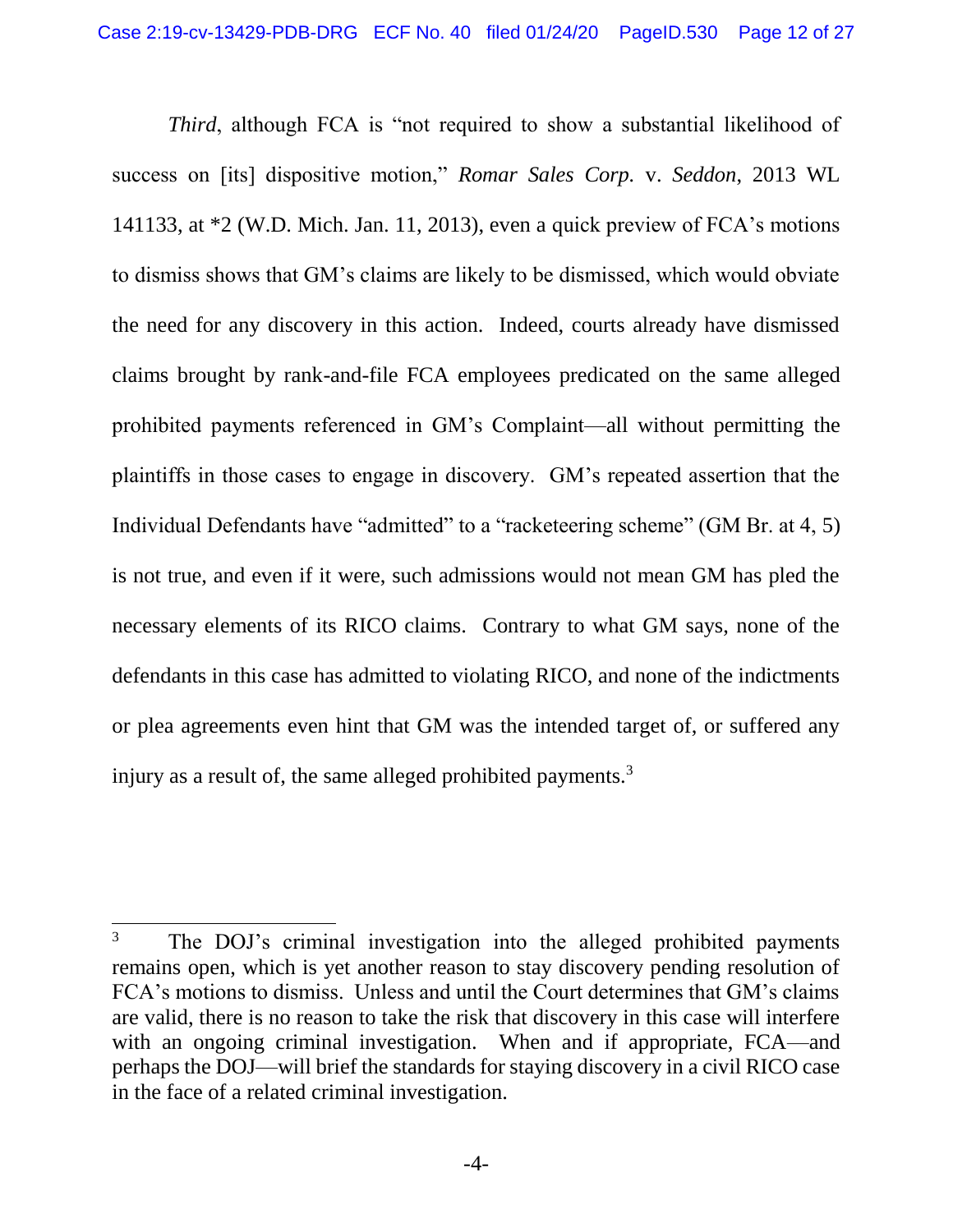*Third*, although FCA is "not required to show a substantial likelihood of success on [its] dispositive motion," *Romar Sales Corp.* v. *Seddon*, 2013 WL 141133, at \*2 (W.D. Mich. Jan. 11, 2013), even a quick preview of FCA's motions to dismiss shows that GM's claims are likely to be dismissed, which would obviate the need for any discovery in this action. Indeed, courts already have dismissed claims brought by rank-and-file FCA employees predicated on the same alleged prohibited payments referenced in GM's Complaint—all without permitting the plaintiffs in those cases to engage in discovery. GM's repeated assertion that the Individual Defendants have "admitted" to a "racketeering scheme" (GM Br. at 4, 5) is not true, and even if it were, such admissions would not mean GM has pled the necessary elements of its RICO claims. Contrary to what GM says, none of the defendants in this case has admitted to violating RICO, and none of the indictments or plea agreements even hint that GM was the intended target of, or suffered any injury as a result of, the same alleged prohibited payments.<sup>3</sup>

l

<sup>&</sup>lt;sup>3</sup> The DOJ's criminal investigation into the alleged prohibited payments remains open, which is yet another reason to stay discovery pending resolution of FCA's motions to dismiss. Unless and until the Court determines that GM's claims are valid, there is no reason to take the risk that discovery in this case will interfere with an ongoing criminal investigation. When and if appropriate, FCA—and perhaps the DOJ—will brief the standards for staying discovery in a civil RICO case in the face of a related criminal investigation.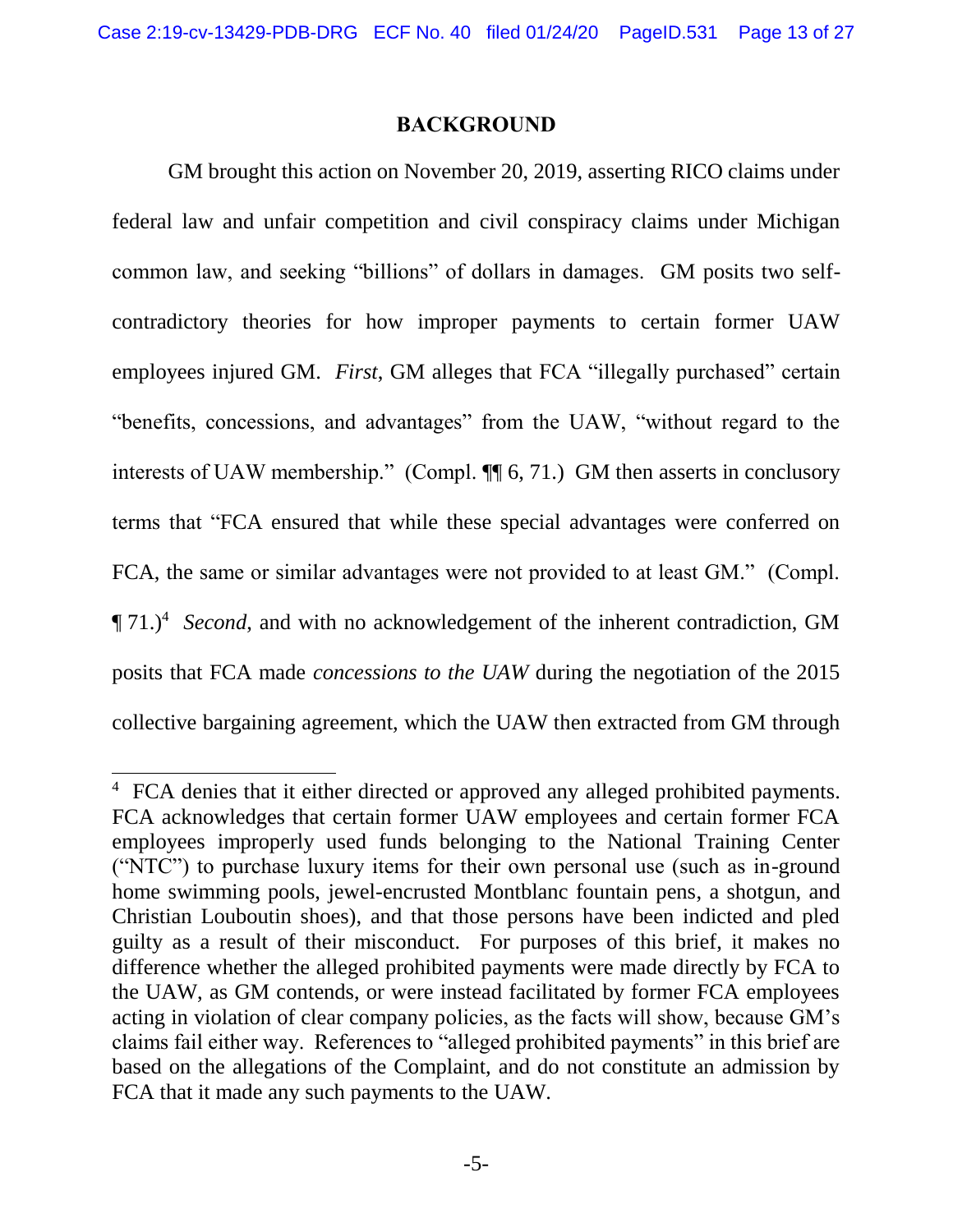#### **BACKGROUND**

<span id="page-12-0"></span>GM brought this action on November 20, 2019, asserting RICO claims under federal law and unfair competition and civil conspiracy claims under Michigan common law, and seeking "billions" of dollars in damages. GM posits two selfcontradictory theories for how improper payments to certain former UAW employees injured GM. *First*, GM alleges that FCA "illegally purchased" certain "benefits, concessions, and advantages" from the UAW, "without regard to the interests of UAW membership." (Compl. ¶¶ 6, 71.) GM then asserts in conclusory terms that "FCA ensured that while these special advantages were conferred on FCA, the same or similar advantages were not provided to at least GM." (Compl. ¶ 71.)<sup>4</sup> *Second*, and with no acknowledgement of the inherent contradiction, GM posits that FCA made *concessions to the UAW* during the negotiation of the 2015 collective bargaining agreement, which the UAW then extracted from GM through

<sup>&</sup>lt;sup>4</sup> FCA denies that it either directed or approved any alleged prohibited payments. FCA acknowledges that certain former UAW employees and certain former FCA employees improperly used funds belonging to the National Training Center ("NTC") to purchase luxury items for their own personal use (such as in-ground home swimming pools, jewel-encrusted Montblanc fountain pens, a shotgun, and Christian Louboutin shoes), and that those persons have been indicted and pled guilty as a result of their misconduct. For purposes of this brief, it makes no difference whether the alleged prohibited payments were made directly by FCA to the UAW, as GM contends, or were instead facilitated by former FCA employees acting in violation of clear company policies, as the facts will show, because GM's claims fail either way. References to "alleged prohibited payments" in this brief are based on the allegations of the Complaint, and do not constitute an admission by FCA that it made any such payments to the UAW.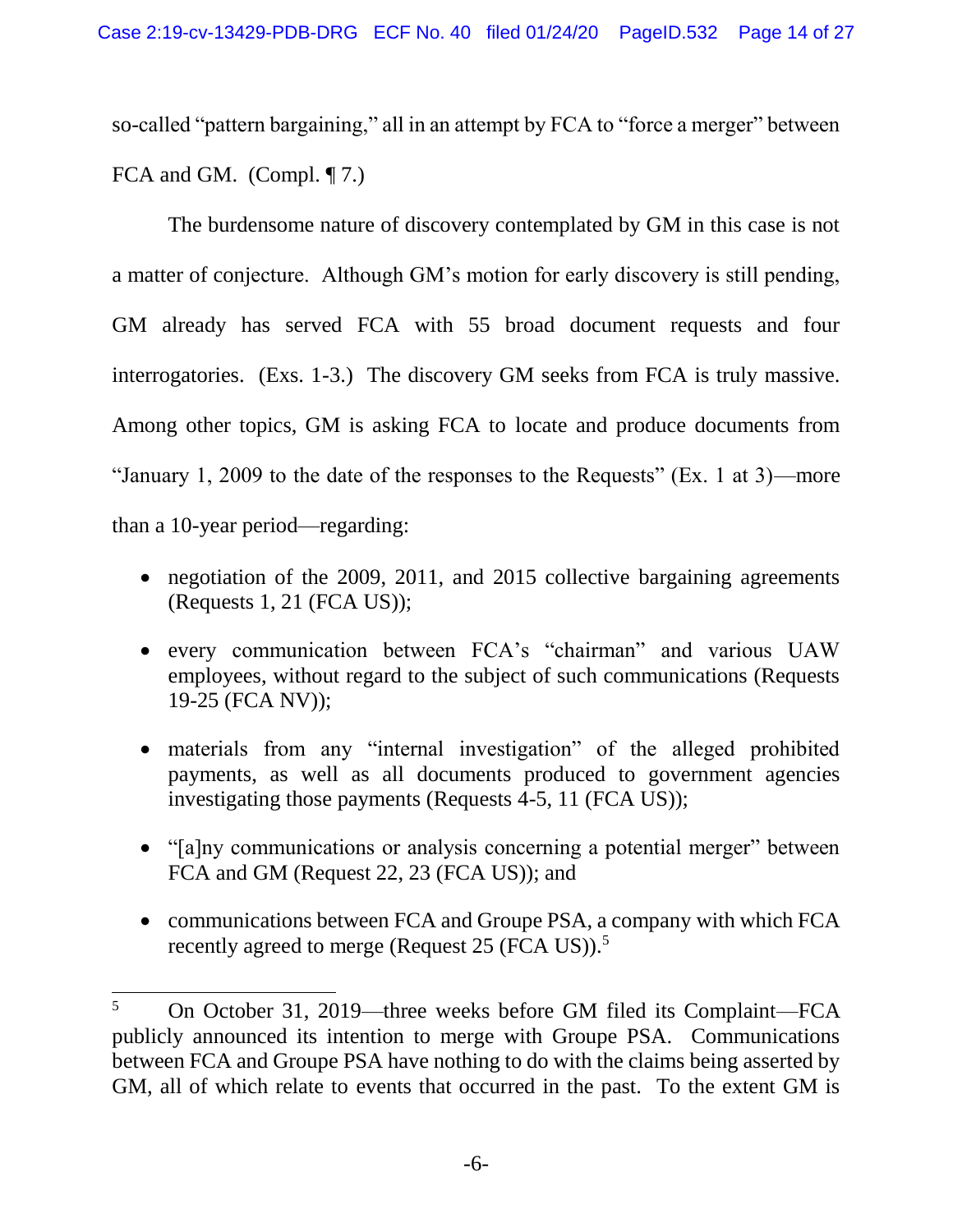so-called "pattern bargaining," all in an attempt by FCA to "force a merger" between FCA and GM. (Compl. ¶ 7.)

The burdensome nature of discovery contemplated by GM in this case is not a matter of conjecture. Although GM's motion for early discovery is still pending, GM already has served FCA with 55 broad document requests and four interrogatories. (Exs. 1-3.) The discovery GM seeks from FCA is truly massive. Among other topics, GM is asking FCA to locate and produce documents from "January 1, 2009 to the date of the responses to the Requests" (Ex. 1 at 3)—more than a 10-year period—regarding:

- negotiation of the 2009, 2011, and 2015 collective bargaining agreements (Requests 1, 21 (FCA US));
- every communication between FCA's "chairman" and various UAW employees, without regard to the subject of such communications (Requests 19-25 (FCA NV));
- materials from any "internal investigation" of the alleged prohibited payments, as well as all documents produced to government agencies investigating those payments (Requests 4-5, 11 (FCA US));
- "[a]ny communications or analysis concerning a potential merger" between FCA and GM (Request 22, 23 (FCA US)); and
- communications between FCA and Groupe PSA, a company with which FCA recently agreed to merge (Request 25 (FCA US)).<sup>5</sup>

<sup>5</sup> On October 31, 2019—three weeks before GM filed its Complaint—FCA publicly announced its intention to merge with Groupe PSA. Communications between FCA and Groupe PSA have nothing to do with the claims being asserted by GM, all of which relate to events that occurred in the past. To the extent GM is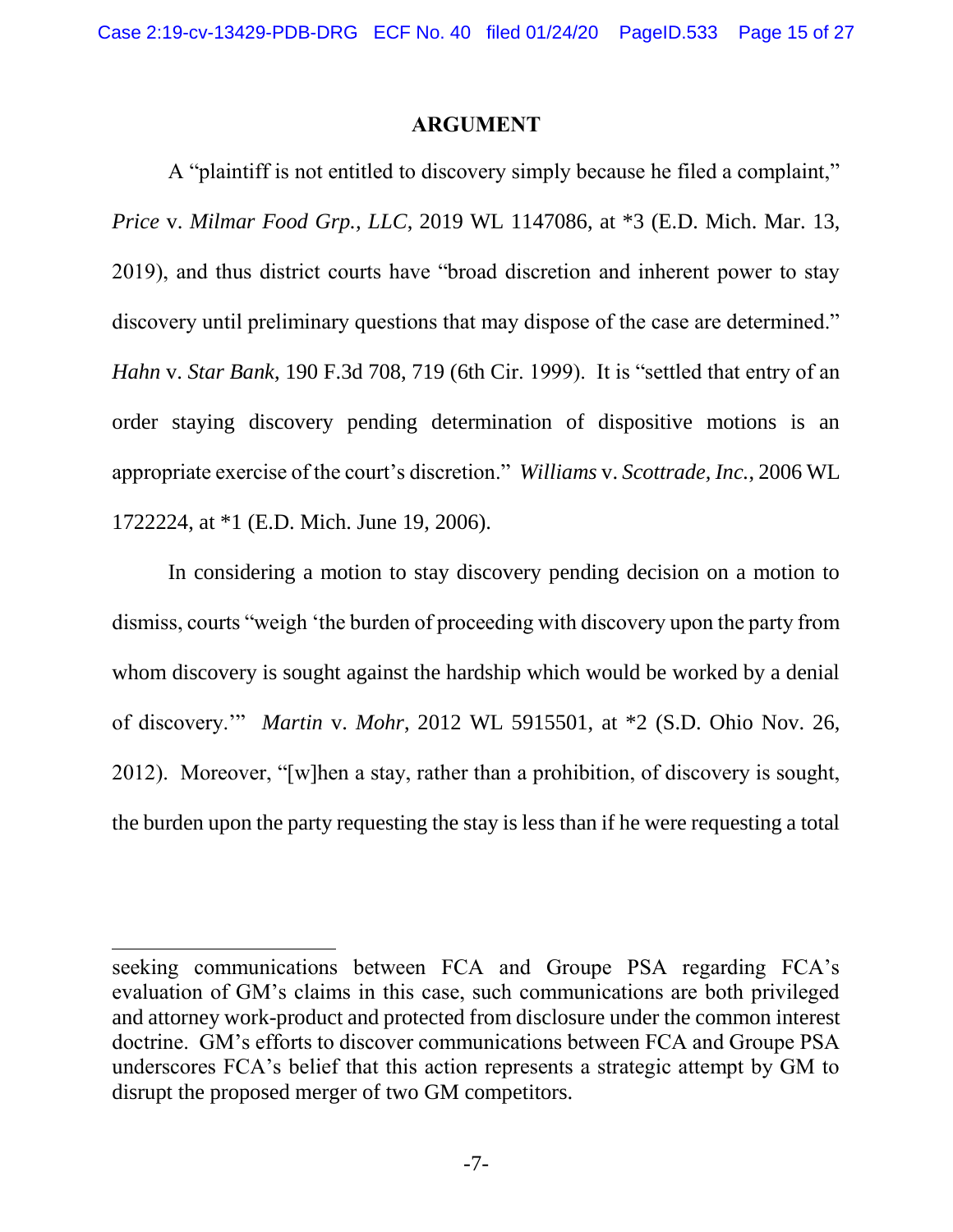#### **ARGUMENT**

<span id="page-14-0"></span>A "plaintiff is not entitled to discovery simply because he filed a complaint," *Price* v. *Milmar Food Grp., LLC*, 2019 WL 1147086, at \*3 (E.D. Mich. Mar. 13, 2019), and thus district courts have "broad discretion and inherent power to stay discovery until preliminary questions that may dispose of the case are determined." *Hahn* v. *Star Bank*, 190 F.3d 708, 719 (6th Cir. 1999). It is "settled that entry of an order staying discovery pending determination of dispositive motions is an appropriate exercise of the court's discretion." *Williams* v. *Scottrade, Inc.*, 2006 WL 1722224, at \*1 (E.D. Mich. June 19, 2006).

In considering a motion to stay discovery pending decision on a motion to dismiss, courts "weigh 'the burden of proceeding with discovery upon the party from whom discovery is sought against the hardship which would be worked by a denial of discovery.'" *Martin* v. *Mohr*, 2012 WL 5915501, at \*2 (S.D. Ohio Nov. 26, 2012). Moreover, "[w]hen a stay, rather than a prohibition, of discovery is sought, the burden upon the party requesting the stay is less than if he were requesting a total

l

seeking communications between FCA and Groupe PSA regarding FCA's evaluation of GM's claims in this case, such communications are both privileged and attorney work-product and protected from disclosure under the common interest doctrine. GM's efforts to discover communications between FCA and Groupe PSA underscores FCA's belief that this action represents a strategic attempt by GM to disrupt the proposed merger of two GM competitors.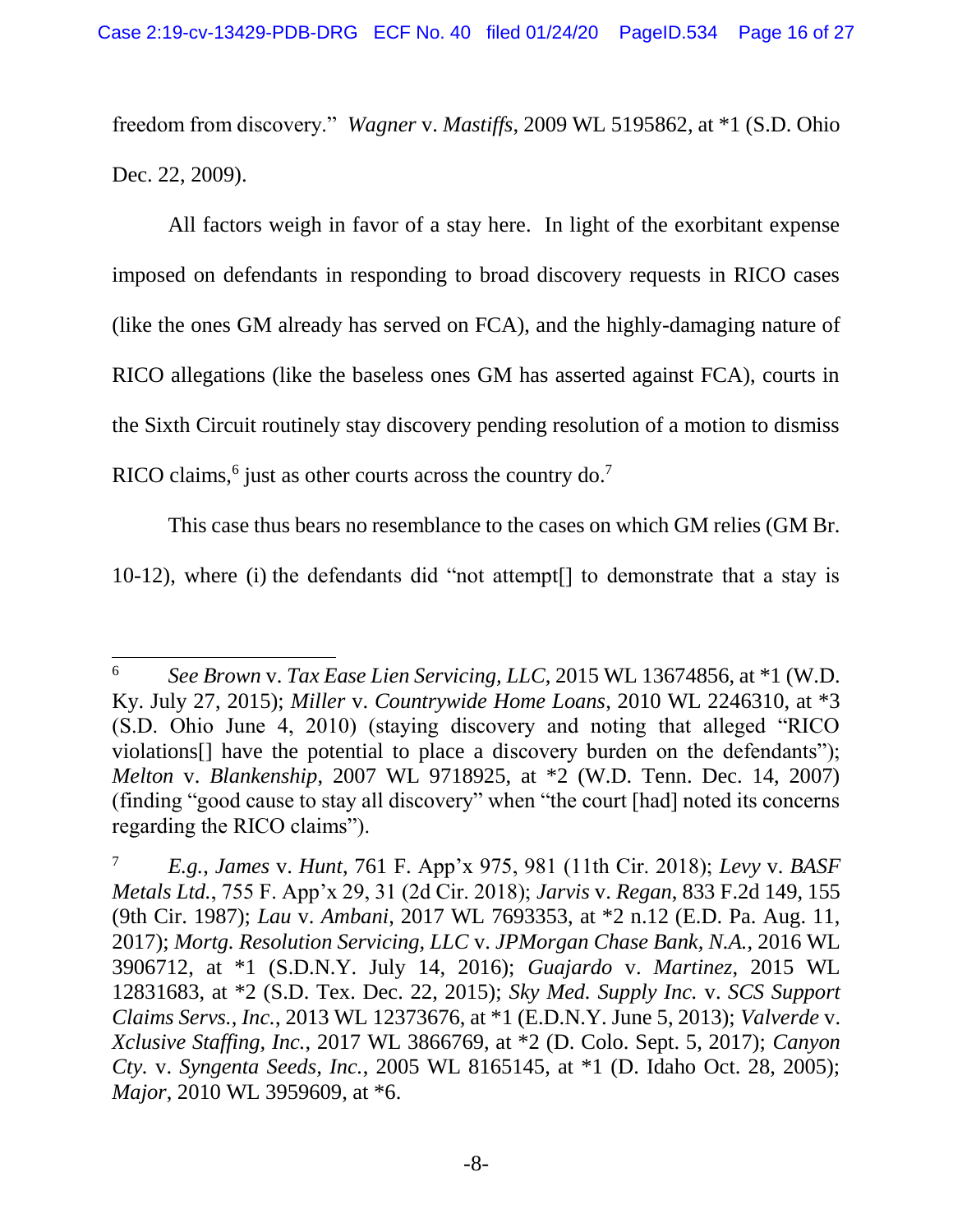freedom from discovery." *Wagner* v. *Mastiffs*, 2009 WL 5195862, at \*1 (S.D. Ohio Dec. 22, 2009).

All factors weigh in favor of a stay here. In light of the exorbitant expense imposed on defendants in responding to broad discovery requests in RICO cases (like the ones GM already has served on FCA), and the highly-damaging nature of RICO allegations (like the baseless ones GM has asserted against FCA), courts in the Sixth Circuit routinely stay discovery pending resolution of a motion to dismiss RICO claims,<sup>6</sup> just as other courts across the country do.<sup>7</sup>

This case thus bears no resemblance to the cases on which GM relies (GM Br.

10-12), where (i) the defendants did "not attempt[] to demonstrate that a stay is

l

<sup>6</sup> *See Brown* v. *Tax Ease Lien Servicing, LLC*, 2015 WL 13674856, at \*1 (W.D. Ky. July 27, 2015); *Miller* v. *Countrywide Home Loans*, 2010 WL 2246310, at \*3 (S.D. Ohio June 4, 2010) (staying discovery and noting that alleged "RICO violations[] have the potential to place a discovery burden on the defendants"); *Melton* v. *Blankenship*, 2007 WL 9718925, at \*2 (W.D. Tenn. Dec. 14, 2007) (finding "good cause to stay all discovery" when "the court [had] noted its concerns regarding the RICO claims").

<sup>7</sup> *E.g.*, *James* v. *Hunt*, 761 F. App'x 975, 981 (11th Cir. 2018); *Levy* v. *BASF Metals Ltd.*, 755 F. App'x 29, 31 (2d Cir. 2018); *Jarvis* v. *Regan*, 833 F.2d 149, 155 (9th Cir. 1987); *Lau* v. *Ambani*, 2017 WL 7693353, at \*2 n.12 (E.D. Pa. Aug. 11, 2017); *Mortg. Resolution Servicing, LLC* v. *JPMorgan Chase Bank, N.A.*, 2016 WL 3906712, at \*1 (S.D.N.Y. July 14, 2016); *Guajardo* v. *Martinez*, 2015 WL 12831683, at \*2 (S.D. Tex. Dec. 22, 2015); *Sky Med. Supply Inc.* v. *SCS Support Claims Servs., Inc.*, 2013 WL 12373676, at \*1 (E.D.N.Y. June 5, 2013); *Valverde* v. *Xclusive Staffing, Inc.*, 2017 WL 3866769, at \*2 (D. Colo. Sept. 5, 2017); *Canyon Cty.* v. *Syngenta Seeds, Inc.*, 2005 WL 8165145, at \*1 (D. Idaho Oct. 28, 2005); *Major*, 2010 WL 3959609, at \*6.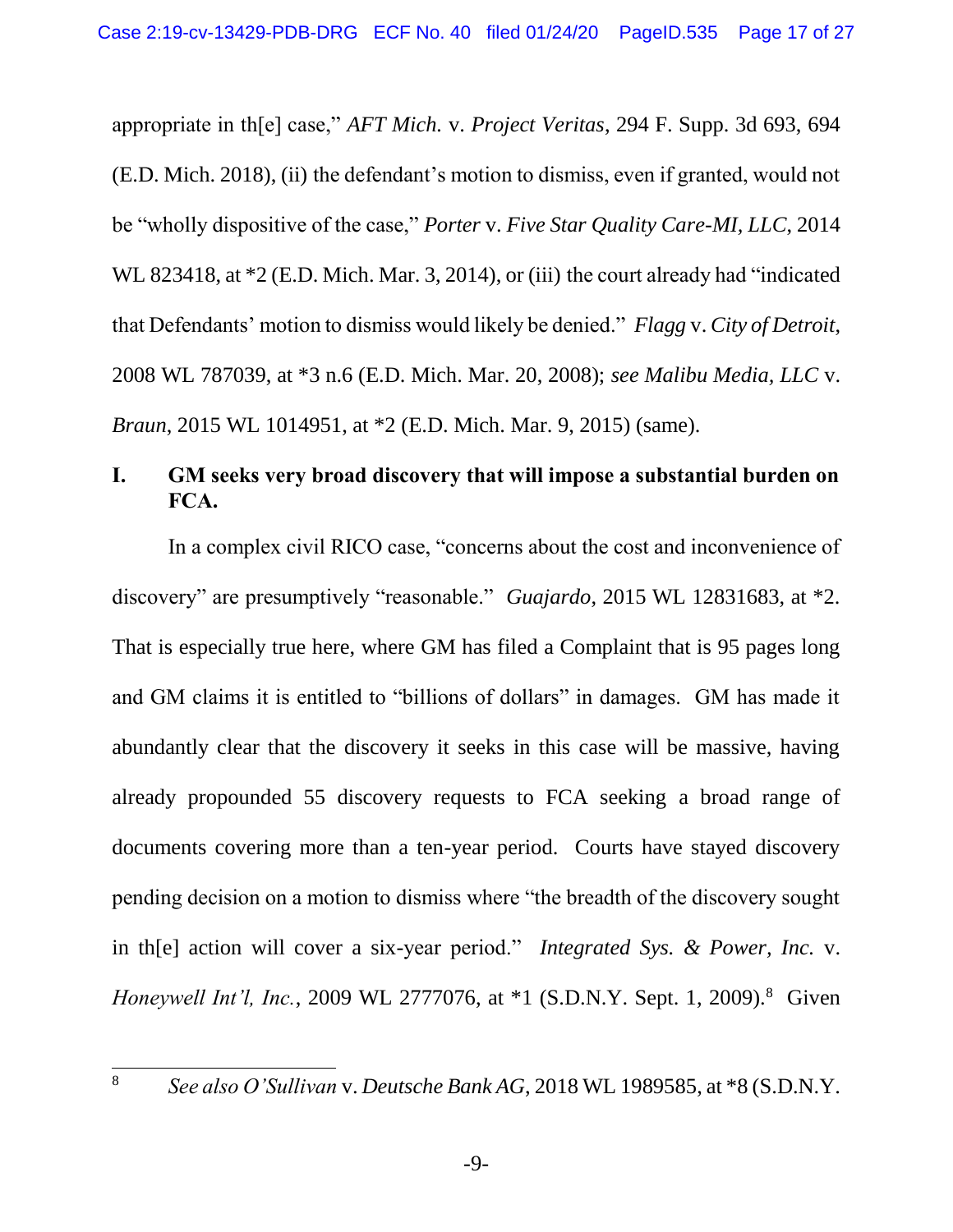appropriate in th[e] case," *AFT Mich.* v. *Project Veritas*, 294 F. Supp. 3d 693, 694 (E.D. Mich. 2018), (ii) the defendant's motion to dismiss, even if granted, would not be "wholly dispositive of the case," *Porter* v. *Five Star Quality Care-MI, LLC*, 2014 WL 823418, at \*2 (E.D. Mich. Mar. 3, 2014), or (iii) the court already had "indicated that Defendants' motion to dismiss would likely be denied." *Flagg* v. *City of Detroit*, 2008 WL 787039, at \*3 n.6 (E.D. Mich. Mar. 20, 2008); *see Malibu Media, LLC* v. *Braun*, 2015 WL 1014951, at \*2 (E.D. Mich. Mar. 9, 2015) (same).

### <span id="page-16-0"></span>**I. GM seeks very broad discovery that will impose a substantial burden on FCA.**

In a complex civil RICO case, "concerns about the cost and inconvenience of discovery" are presumptively "reasonable." *Guajardo*, 2015 WL 12831683, at \*2. That is especially true here, where GM has filed a Complaint that is 95 pages long and GM claims it is entitled to "billions of dollars" in damages. GM has made it abundantly clear that the discovery it seeks in this case will be massive, having already propounded 55 discovery requests to FCA seeking a broad range of documents covering more than a ten-year period. Courts have stayed discovery pending decision on a motion to dismiss where "the breadth of the discovery sought in th[e] action will cover a six-year period." *Integrated Sys. & Power, Inc.* v. *Honeywell Int'l, Inc.,* 2009 WL 2777076, at \*1 (S.D.N.Y. Sept. 1, 2009).<sup>8</sup> Given

<sup>8</sup> *See also O'Sullivan* v. *Deutsche Bank AG*, 2018 WL 1989585, at \*8 (S.D.N.Y.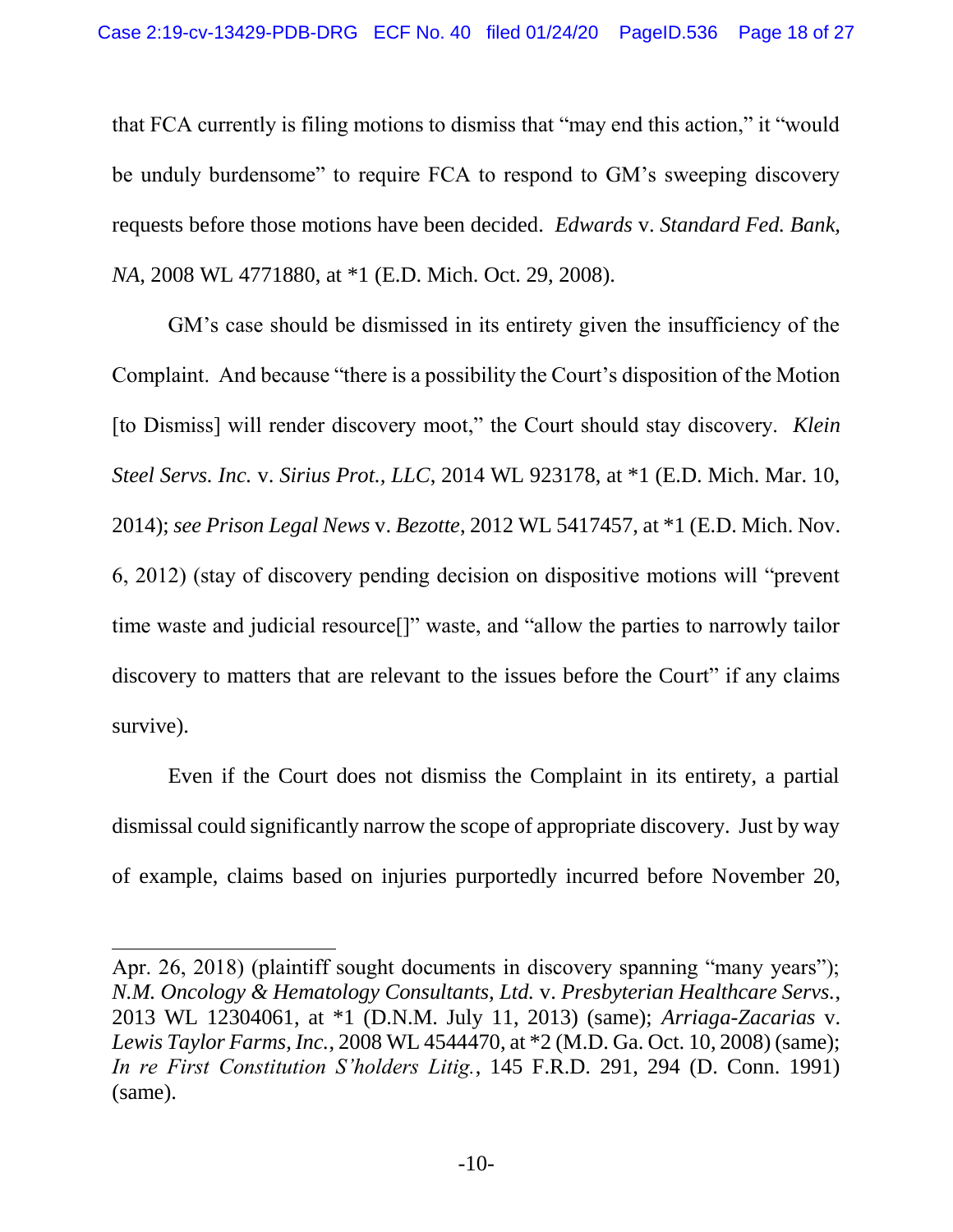that FCA currently is filing motions to dismiss that "may end this action," it "would be unduly burdensome" to require FCA to respond to GM's sweeping discovery requests before those motions have been decided. *Edwards* v. *Standard Fed. Bank, NA*, 2008 WL 4771880, at \*1 (E.D. Mich. Oct. 29, 2008).

GM's case should be dismissed in its entirety given the insufficiency of the Complaint. And because "there is a possibility the Court's disposition of the Motion [to Dismiss] will render discovery moot," the Court should stay discovery. *Klein Steel Servs. Inc.* v. *Sirius Prot., LLC*, 2014 WL 923178, at \*1 (E.D. Mich. Mar. 10, 2014); *see Prison Legal News* v. *Bezotte*, 2012 WL 5417457, at \*1 (E.D. Mich. Nov. 6, 2012) (stay of discovery pending decision on dispositive motions will "prevent time waste and judicial resource[]" waste, and "allow the parties to narrowly tailor discovery to matters that are relevant to the issues before the Court" if any claims survive).

Even if the Court does not dismiss the Complaint in its entirety, a partial dismissal could significantly narrow the scope of appropriate discovery. Just by way of example, claims based on injuries purportedly incurred before November 20,

l

Apr. 26, 2018) (plaintiff sought documents in discovery spanning "many years"); *N.M. Oncology & Hematology Consultants, Ltd.* v. *Presbyterian Healthcare Servs.*, 2013 WL 12304061, at \*1 (D.N.M. July 11, 2013) (same); *Arriaga-Zacarias* v. *Lewis Taylor Farms, Inc.*, 2008 WL 4544470, at \*2 (M.D. Ga. Oct. 10, 2008) (same); *In re First Constitution S'holders Litig.*, 145 F.R.D. 291, 294 (D. Conn. 1991) (same).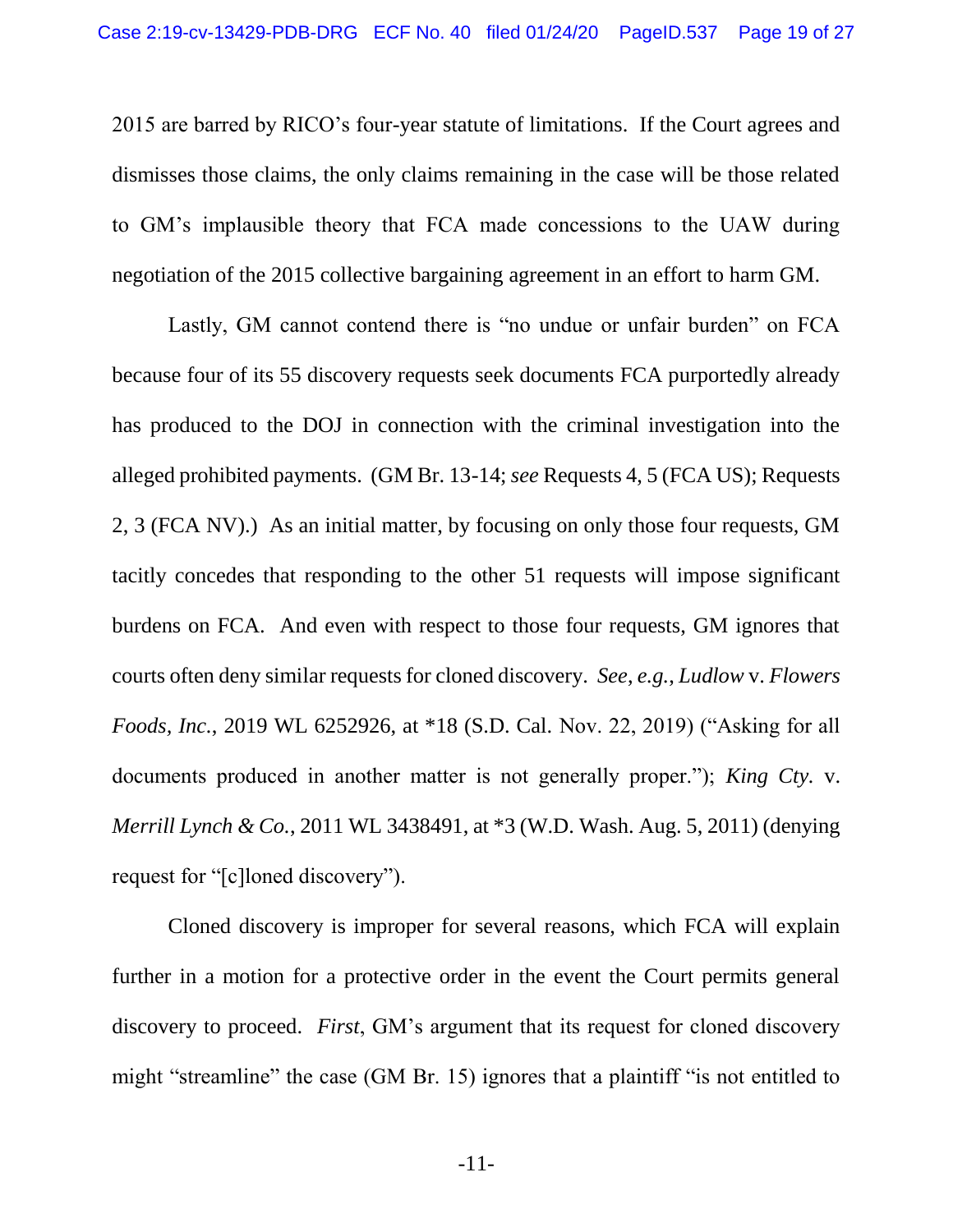2015 are barred by RICO's four-year statute of limitations. If the Court agrees and dismisses those claims, the only claims remaining in the case will be those related to GM's implausible theory that FCA made concessions to the UAW during negotiation of the 2015 collective bargaining agreement in an effort to harm GM.

Lastly, GM cannot contend there is "no undue or unfair burden" on FCA because four of its 55 discovery requests seek documents FCA purportedly already has produced to the DOJ in connection with the criminal investigation into the alleged prohibited payments. (GM Br. 13-14; *see* Requests 4, 5 (FCA US); Requests 2, 3 (FCA NV).) As an initial matter, by focusing on only those four requests, GM tacitly concedes that responding to the other 51 requests will impose significant burdens on FCA. And even with respect to those four requests, GM ignores that courts often deny similar requests for cloned discovery. *See*, *e.g.*, *Ludlow* v. *Flowers Foods, Inc.*, 2019 WL 6252926, at \*18 (S.D. Cal. Nov. 22, 2019) ("Asking for all documents produced in another matter is not generally proper."); *King Cty.* v. *Merrill Lynch & Co.*, 2011 WL 3438491, at \*3 (W.D. Wash. Aug. 5, 2011) (denying request for "[c]loned discovery").

Cloned discovery is improper for several reasons, which FCA will explain further in a motion for a protective order in the event the Court permits general discovery to proceed. *First*, GM's argument that its request for cloned discovery might "streamline" the case (GM Br. 15) ignores that a plaintiff "is not entitled to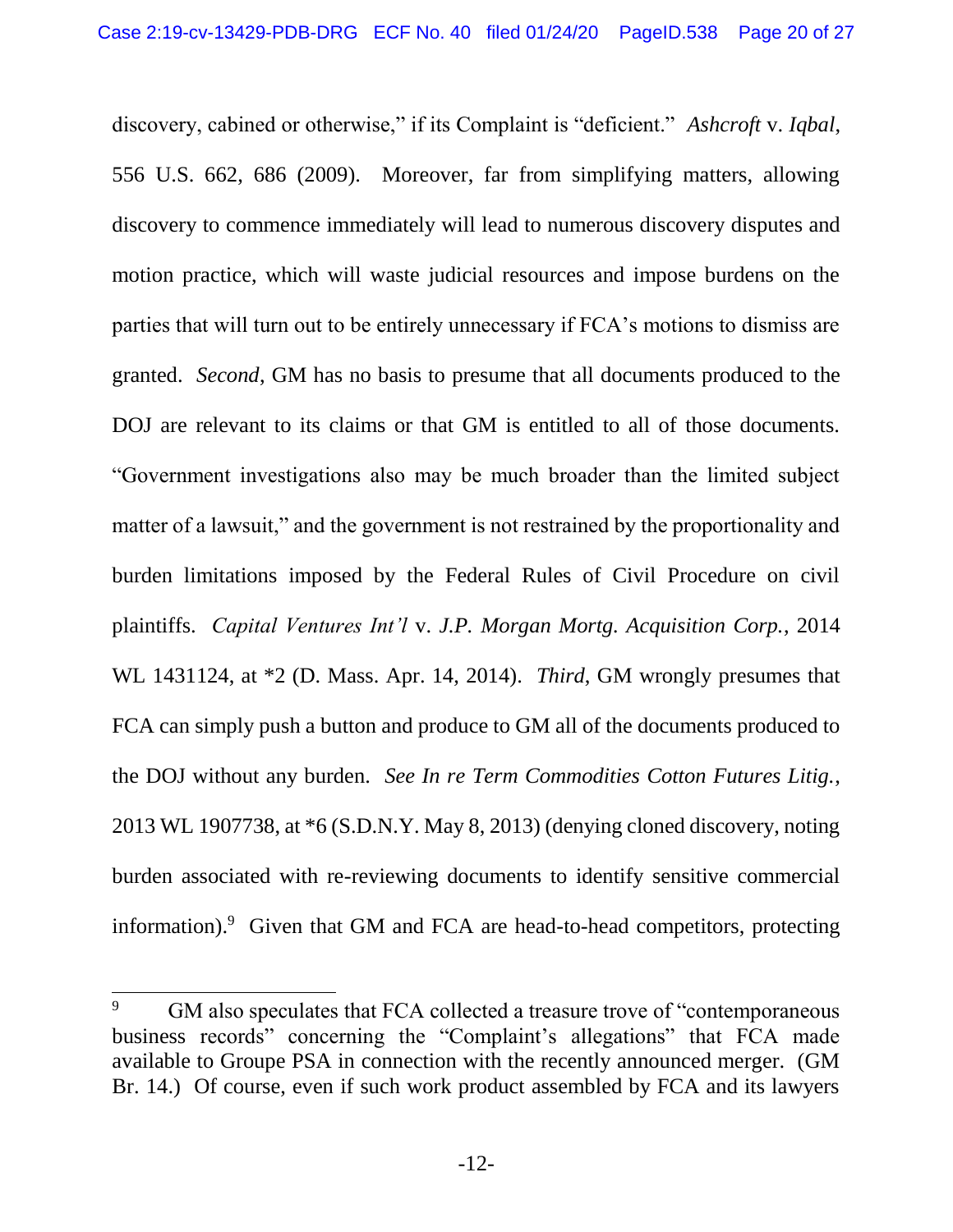discovery, cabined or otherwise," if its Complaint is "deficient." *Ashcroft* v. *Iqbal*, 556 U.S. 662, 686 (2009). Moreover, far from simplifying matters, allowing discovery to commence immediately will lead to numerous discovery disputes and motion practice, which will waste judicial resources and impose burdens on the parties that will turn out to be entirely unnecessary if FCA's motions to dismiss are granted. *Second*, GM has no basis to presume that all documents produced to the DOJ are relevant to its claims or that GM is entitled to all of those documents. "Government investigations also may be much broader than the limited subject matter of a lawsuit," and the government is not restrained by the proportionality and burden limitations imposed by the Federal Rules of Civil Procedure on civil plaintiffs. *Capital Ventures Int'l* v. *J.P. Morgan Mortg. Acquisition Corp.*, 2014 WL 1431124, at \*2 (D. Mass. Apr. 14, 2014). *Third*, GM wrongly presumes that FCA can simply push a button and produce to GM all of the documents produced to the DOJ without any burden. *See In re Term Commodities Cotton Futures Litig.*, 2013 WL 1907738, at \*6 (S.D.N.Y. May 8, 2013) (denying cloned discovery, noting burden associated with re-reviewing documents to identify sensitive commercial information).<sup>9</sup> Given that GM and FCA are head-to-head competitors, protecting

GM also speculates that FCA collected a treasure trove of "contemporaneous" business records" concerning the "Complaint's allegations" that FCA made available to Groupe PSA in connection with the recently announced merger. (GM Br. 14.) Of course, even if such work product assembled by FCA and its lawyers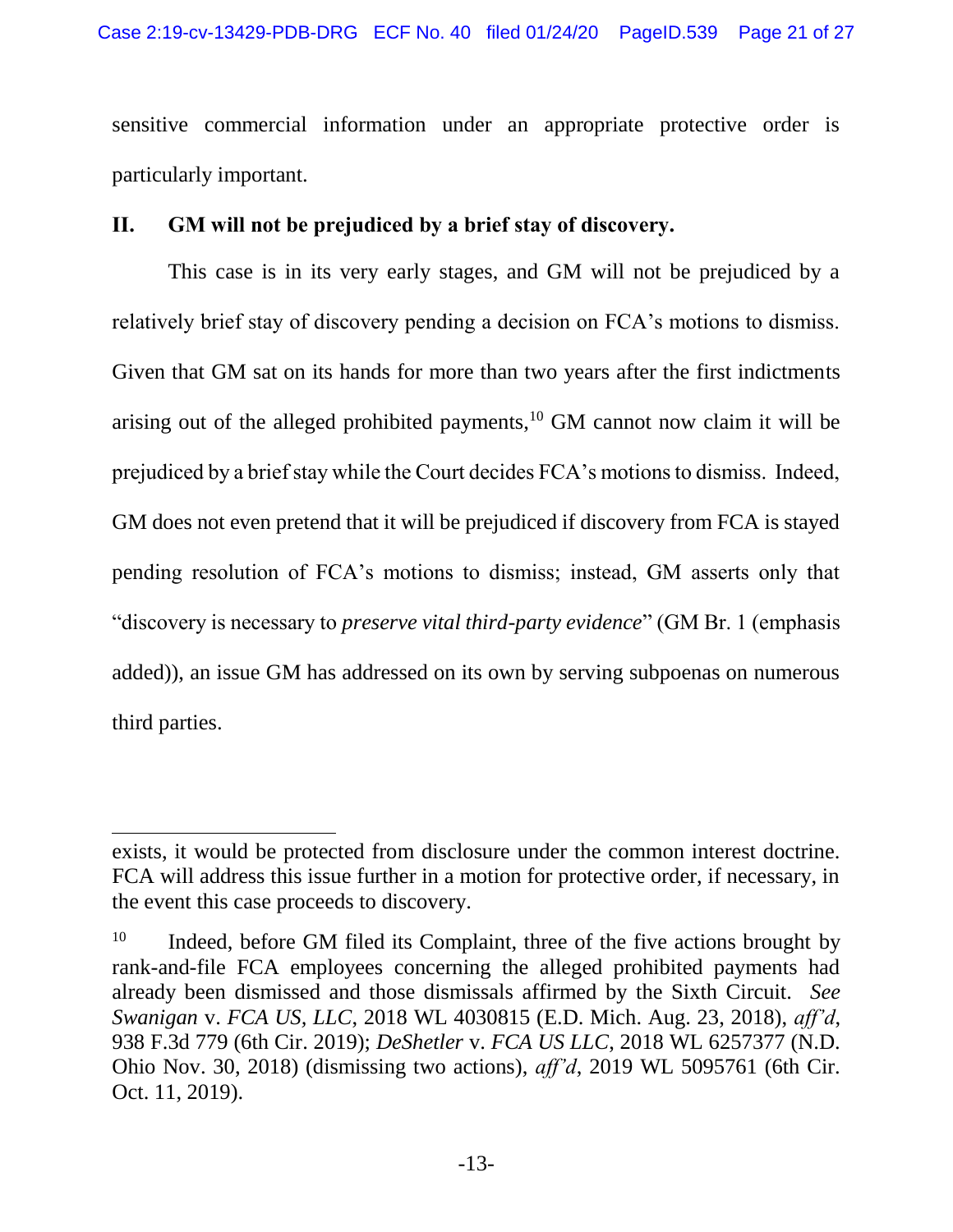sensitive commercial information under an appropriate protective order is particularly important.

### <span id="page-20-0"></span>**II. GM will not be prejudiced by a brief stay of discovery.**

This case is in its very early stages, and GM will not be prejudiced by a relatively brief stay of discovery pending a decision on FCA's motions to dismiss. Given that GM sat on its hands for more than two years after the first indictments arising out of the alleged prohibited payments,<sup>10</sup> GM cannot now claim it will be prejudiced by a brief stay while the Court decides FCA's motions to dismiss. Indeed, GM does not even pretend that it will be prejudiced if discovery from FCA is stayed pending resolution of FCA's motions to dismiss; instead, GM asserts only that "discovery is necessary to *preserve vital third-party evidence*" (GM Br. 1 (emphasis added)), an issue GM has addressed on its own by serving subpoenas on numerous third parties.

exists, it would be protected from disclosure under the common interest doctrine. FCA will address this issue further in a motion for protective order, if necessary, in the event this case proceeds to discovery.

 $10$  Indeed, before GM filed its Complaint, three of the five actions brought by rank-and-file FCA employees concerning the alleged prohibited payments had already been dismissed and those dismissals affirmed by the Sixth Circuit. *See Swanigan* v. *FCA US, LLC*, 2018 WL 4030815 (E.D. Mich. Aug. 23, 2018), *aff'd*, 938 F.3d 779 (6th Cir. 2019); *DeShetler* v. *FCA US LLC*, 2018 WL 6257377 (N.D. Ohio Nov. 30, 2018) (dismissing two actions), *aff'd*, 2019 WL 5095761 (6th Cir. Oct. 11, 2019).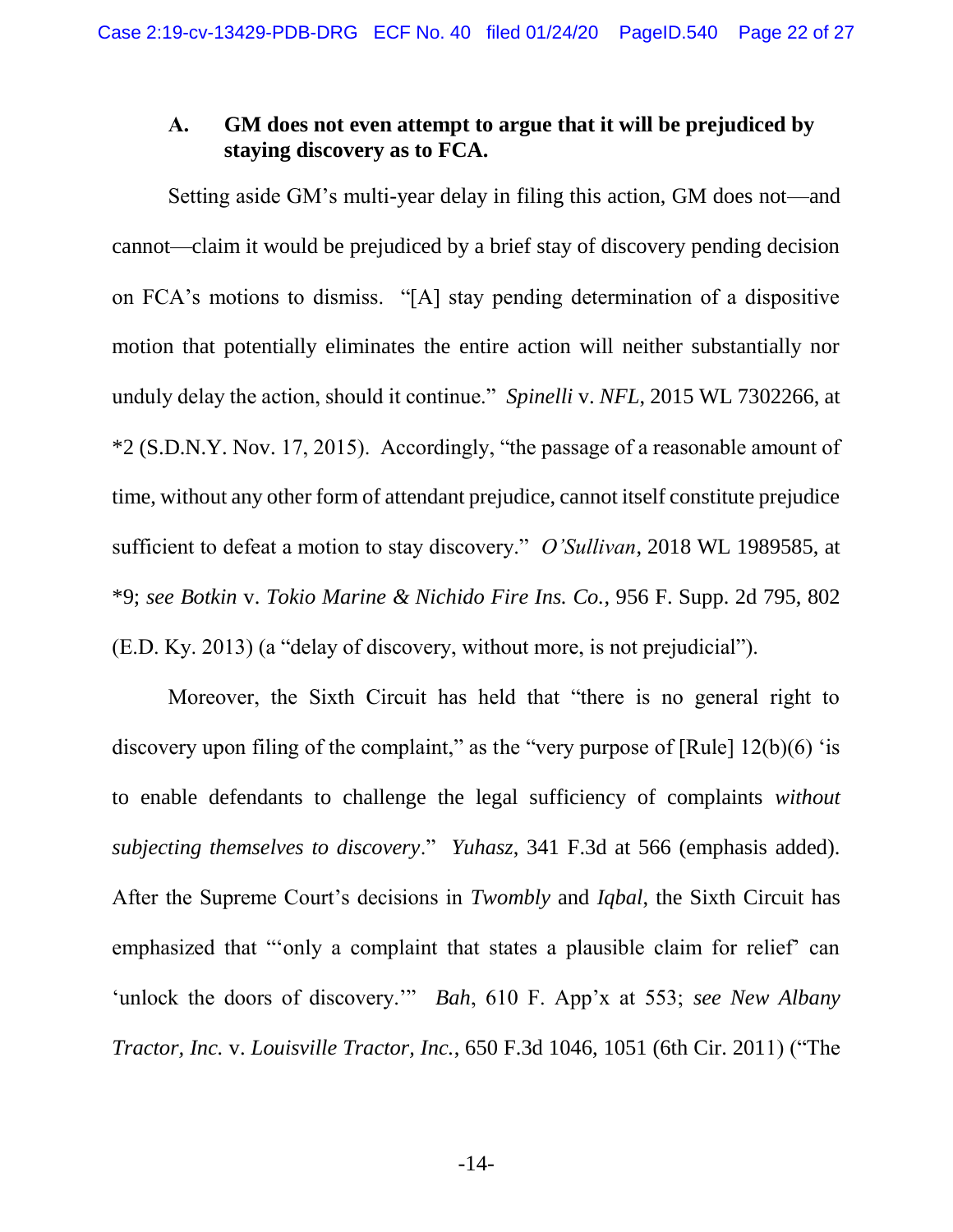### <span id="page-21-0"></span>**A. GM does not even attempt to argue that it will be prejudiced by staying discovery as to FCA.**

Setting aside GM's multi-year delay in filing this action, GM does not—and cannot—claim it would be prejudiced by a brief stay of discovery pending decision on FCA's motions to dismiss. "[A] stay pending determination of a dispositive motion that potentially eliminates the entire action will neither substantially nor unduly delay the action, should it continue." *Spinelli* v. *NFL*, 2015 WL 7302266, at \*2 (S.D.N.Y. Nov. 17, 2015). Accordingly, "the passage of a reasonable amount of time, without any other form of attendant prejudice, cannot itself constitute prejudice sufficient to defeat a motion to stay discovery." *O'Sullivan*, 2018 WL 1989585, at \*9; *see Botkin* v. *Tokio Marine & Nichido Fire Ins. Co.*, 956 F. Supp. 2d 795, 802 (E.D. Ky. 2013) (a "delay of discovery, without more, is not prejudicial").

Moreover, the Sixth Circuit has held that "there is no general right to discovery upon filing of the complaint," as the "very purpose of  $[Rule] 12(b)(6)$  'is to enable defendants to challenge the legal sufficiency of complaints *without subjecting themselves to discovery*." *Yuhasz*, 341 F.3d at 566 (emphasis added). After the Supreme Court's decisions in *Twombly* and *Iqbal*, the Sixth Circuit has emphasized that "'only a complaint that states a plausible claim for relief' can 'unlock the doors of discovery.'" *Bah*, 610 F. App'x at 553; *see New Albany Tractor, Inc.* v. *Louisville Tractor, Inc.*, 650 F.3d 1046, 1051 (6th Cir. 2011) ("The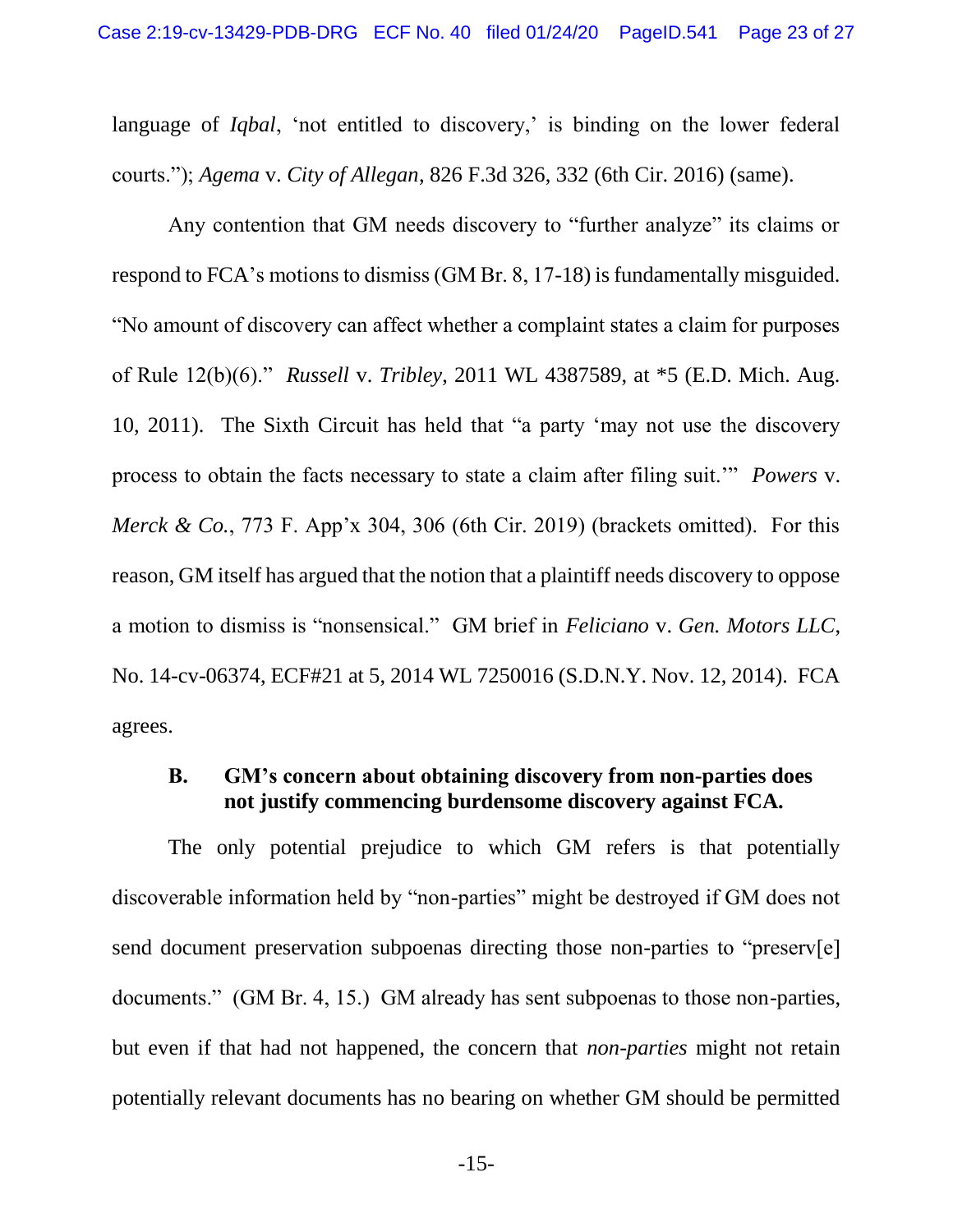language of *Iqbal*, 'not entitled to discovery,' is binding on the lower federal courts."); *Agema* v. *City of Allegan*, 826 F.3d 326, 332 (6th Cir. 2016) (same).

Any contention that GM needs discovery to "further analyze" its claims or respond to FCA's motions to dismiss (GM Br. 8, 17-18) is fundamentally misguided. "No amount of discovery can affect whether a complaint states a claim for purposes of Rule 12(b)(6)." *Russell* v. *Tribley*, 2011 WL 4387589, at \*5 (E.D. Mich. Aug. 10, 2011). The Sixth Circuit has held that "a party 'may not use the discovery process to obtain the facts necessary to state a claim after filing suit.'" *Powers* v. *Merck & Co.*, 773 F. App'x 304, 306 (6th Cir. 2019) (brackets omitted). For this reason, GM itself has argued that the notion that a plaintiff needs discovery to oppose a motion to dismiss is "nonsensical." GM brief in *Feliciano* v. *Gen. Motors LLC*, No. 14-cv-06374, ECF#21 at 5, 2014 WL 7250016 (S.D.N.Y. Nov. 12, 2014). FCA agrees.

### <span id="page-22-0"></span>**B. GM's concern about obtaining discovery from non-parties does not justify commencing burdensome discovery against FCA.**

The only potential prejudice to which GM refers is that potentially discoverable information held by "non-parties" might be destroyed if GM does not send document preservation subpoenas directing those non-parties to "preserv[e] documents." (GM Br. 4, 15.) GM already has sent subpoenas to those non-parties, but even if that had not happened, the concern that *non-parties* might not retain potentially relevant documents has no bearing on whether GM should be permitted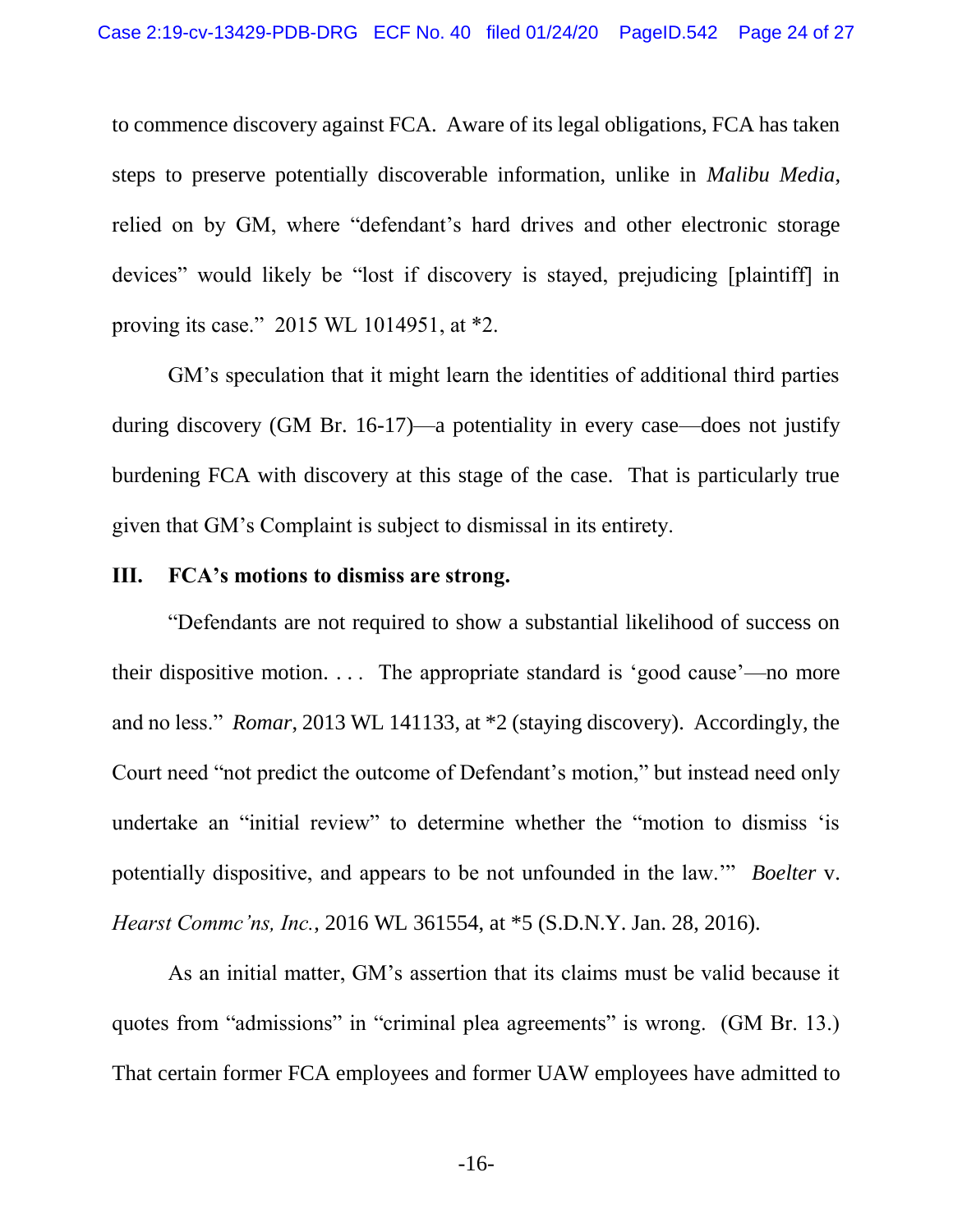to commence discovery against FCA. Aware of its legal obligations, FCA has taken steps to preserve potentially discoverable information, unlike in *Malibu Media*, relied on by GM, where "defendant's hard drives and other electronic storage devices" would likely be "lost if discovery is stayed, prejudicing [plaintiff] in proving its case." 2015 WL 1014951, at \*2.

GM's speculation that it might learn the identities of additional third parties during discovery (GM Br. 16-17)—a potentiality in every case—does not justify burdening FCA with discovery at this stage of the case. That is particularly true given that GM's Complaint is subject to dismissal in its entirety.

### <span id="page-23-0"></span>**III. FCA's motions to dismiss are strong.**

"Defendants are not required to show a substantial likelihood of success on their dispositive motion. . . . The appropriate standard is 'good cause'—no more and no less." *Romar*, 2013 WL 141133, at \*2 (staying discovery). Accordingly, the Court need "not predict the outcome of Defendant's motion," but instead need only undertake an "initial review" to determine whether the "motion to dismiss 'is potentially dispositive, and appears to be not unfounded in the law.'" *Boelter* v. *Hearst Commc'ns, Inc.*, 2016 WL 361554, at \*5 (S.D.N.Y. Jan. 28, 2016).

As an initial matter, GM's assertion that its claims must be valid because it quotes from "admissions" in "criminal plea agreements" is wrong. (GM Br. 13.) That certain former FCA employees and former UAW employees have admitted to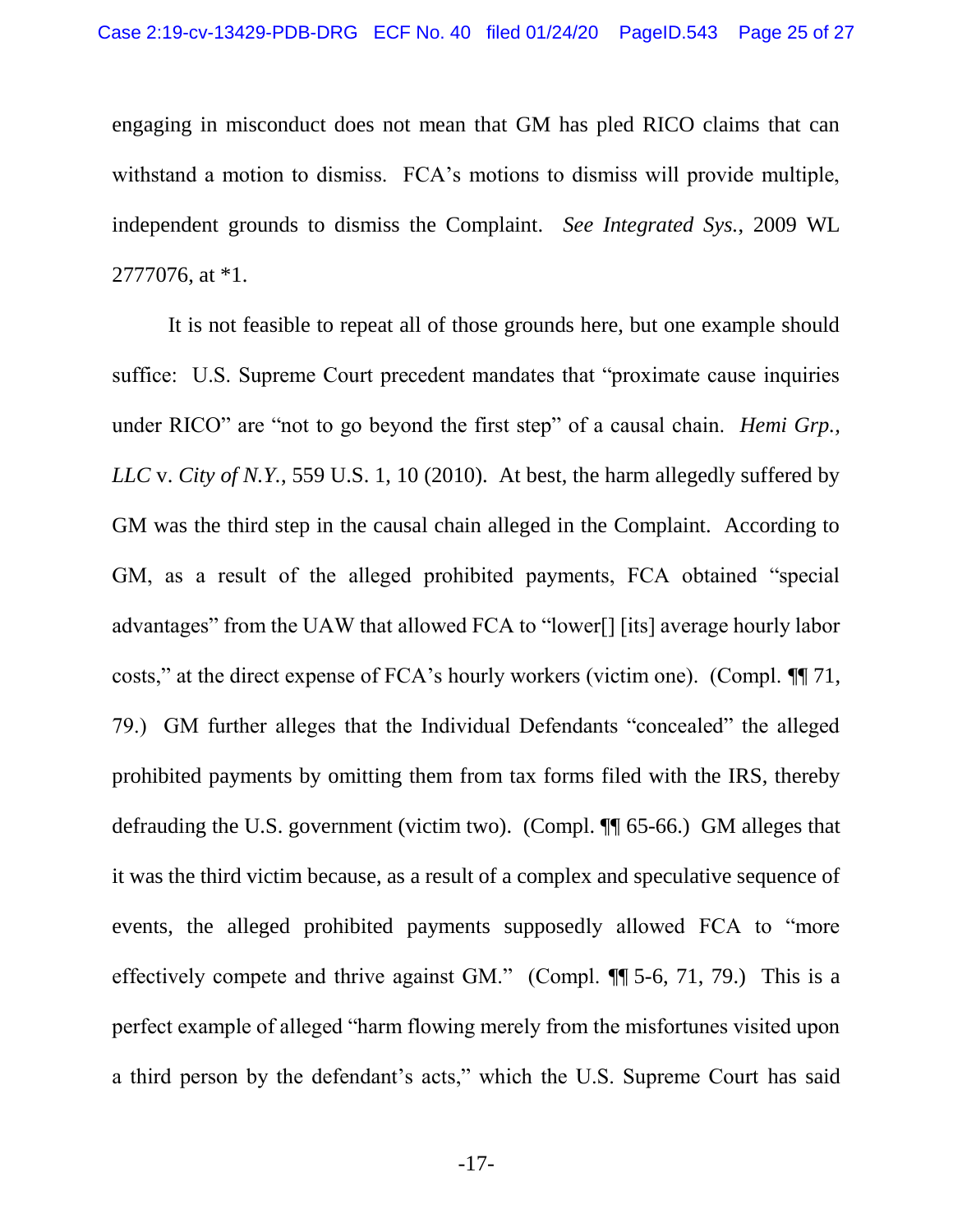engaging in misconduct does not mean that GM has pled RICO claims that can withstand a motion to dismiss. FCA's motions to dismiss will provide multiple, independent grounds to dismiss the Complaint. *See Integrated Sys.*, 2009 WL 2777076, at \*1.

It is not feasible to repeat all of those grounds here, but one example should suffice: U.S. Supreme Court precedent mandates that "proximate cause inquiries under RICO" are "not to go beyond the first step" of a causal chain. *Hemi Grp., LLC* v. *City of N.Y.*, 559 U.S. 1, 10 (2010). At best, the harm allegedly suffered by GM was the third step in the causal chain alleged in the Complaint. According to GM, as a result of the alleged prohibited payments, FCA obtained "special advantages" from the UAW that allowed FCA to "lower[] [its] average hourly labor costs," at the direct expense of FCA's hourly workers (victim one). (Compl. ¶¶ 71, 79.) GM further alleges that the Individual Defendants "concealed" the alleged prohibited payments by omitting them from tax forms filed with the IRS, thereby defrauding the U.S. government (victim two). (Compl. ¶¶ 65-66.) GM alleges that it was the third victim because, as a result of a complex and speculative sequence of events, the alleged prohibited payments supposedly allowed FCA to "more effectively compete and thrive against GM." (Compl. ¶¶ 5-6, 71, 79.) This is a perfect example of alleged "harm flowing merely from the misfortunes visited upon a third person by the defendant's acts," which the U.S. Supreme Court has said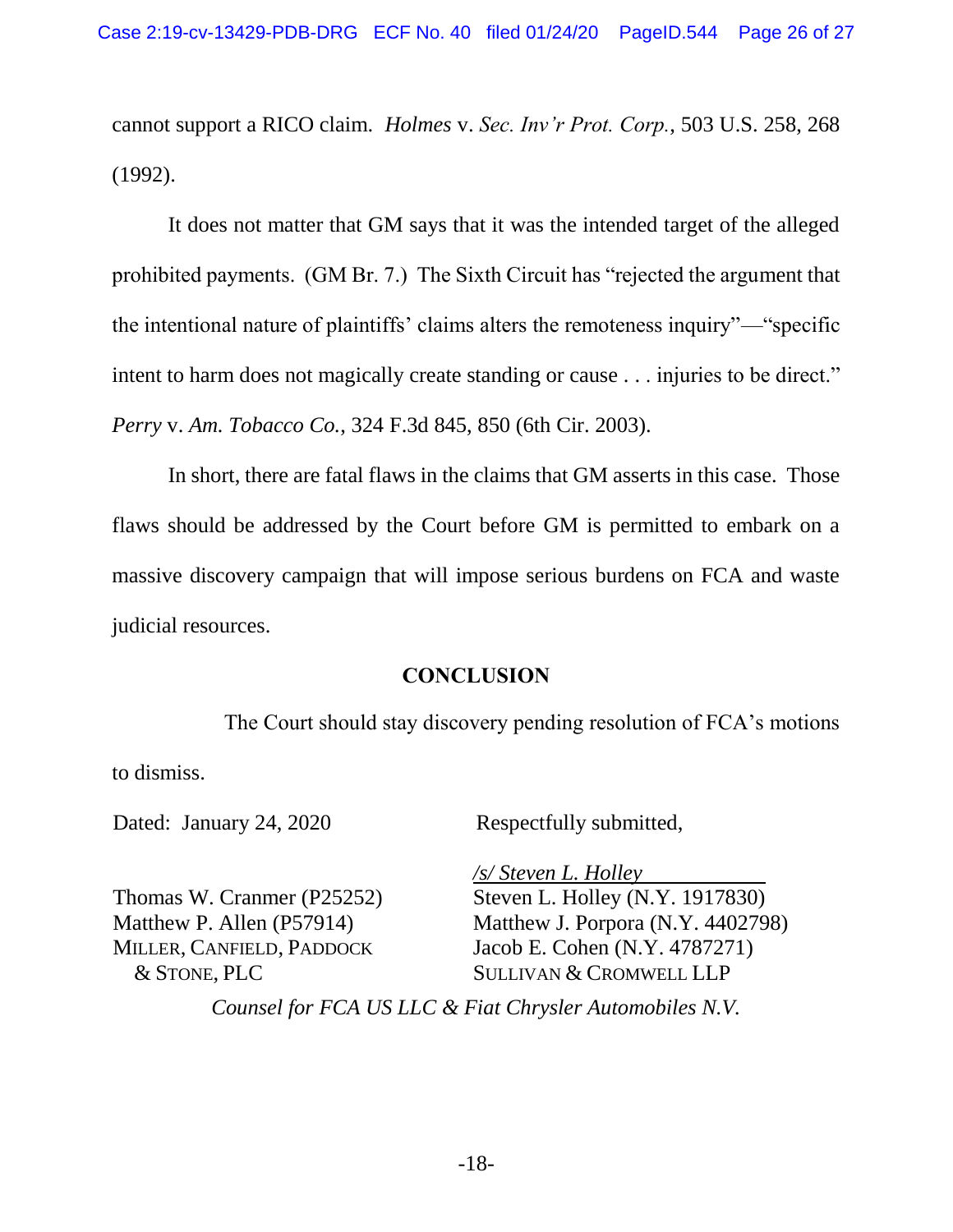cannot support a RICO claim. *Holmes* v. *Sec. Inv'r Prot. Corp.*, 503 U.S. 258, 268 (1992).

It does not matter that GM says that it was the intended target of the alleged prohibited payments. (GM Br. 7.) The Sixth Circuit has "rejected the argument that the intentional nature of plaintiffs' claims alters the remoteness inquiry"—"specific intent to harm does not magically create standing or cause . . . injuries to be direct." *Perry* v. *Am. Tobacco Co.*, 324 F.3d 845, 850 (6th Cir. 2003).

In short, there are fatal flaws in the claims that GM asserts in this case. Those flaws should be addressed by the Court before GM is permitted to embark on a massive discovery campaign that will impose serious burdens on FCA and waste judicial resources.

### **CONCLUSION**

<span id="page-25-0"></span>The Court should stay discovery pending resolution of FCA's motions to dismiss.

Dated: January 24, 2020

Respectfully submitted,

Thomas W. Cranmer (P25252) Matthew P. Allen (P57914) MILLER, CANFIELD, PADDOCK & STONE, PLC

*/s/ Steven L. Holley*  Steven L. Holley (N.Y. 1917830) Matthew J. Porpora (N.Y. 4402798) Jacob E. Cohen (N.Y. 4787271) SULLIVAN & CROMWELL LLP

*Counsel for FCA US LLC & Fiat Chrysler Automobiles N.V.*